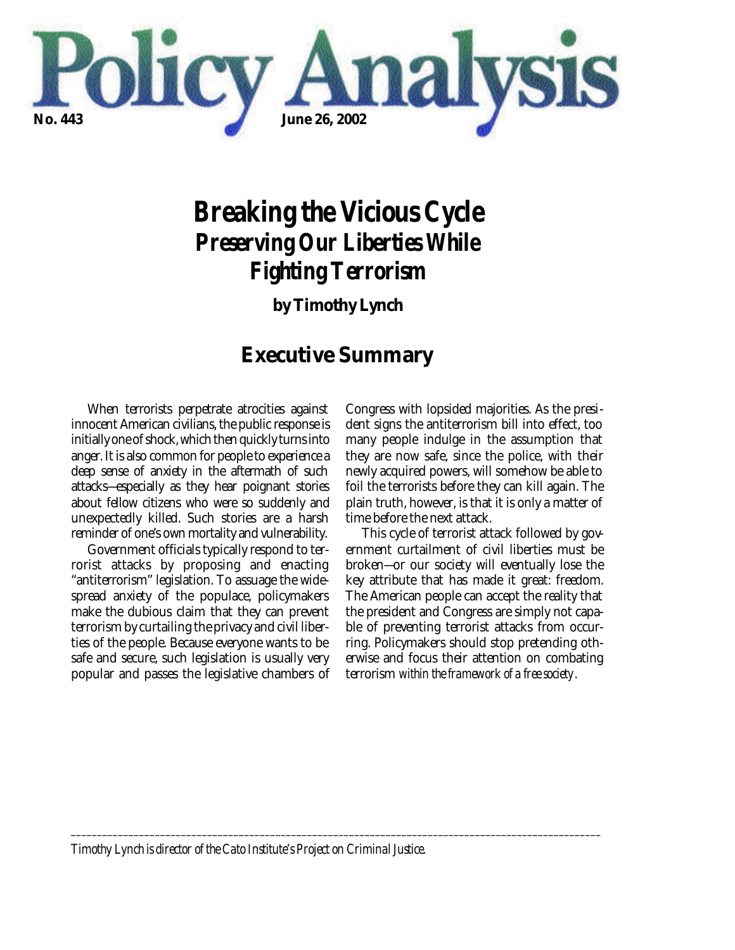

# *Breaking the Vicious Cycle Preserving Our Liberties While Fighting Terrorism*

**by Timothy Lynch**

# **Executive Summary**

When terrorists perpetrate atrocities against innocent American civilians, the public response is initially one of shock, which then quickly turns into anger. It is also common for people to experience a deep sense of anxiety in the aftermath of such attacks—especially as they hear poignant stories about fellow citizens who were so suddenly and unexpectedly killed. Such stories are a harsh reminder of one's own mortality and vulnerability.

Government officials typically respond to terrorist attacks by proposing and enacting "antiterrorism" legislation. To assuage the widespread anxiety of the populace, policymakers make the dubious claim that they can prevent terrorism by curtailing the privacy and civil liberties of the people. Because everyone wants to be safe and secure, such legislation is usually very popular and passes the legislative chambers of Congress with lopsided majorities. As the president signs the antiterrorism bill into effect, too many people indulge in the assumption that they are now safe, since the police, with their newly acquired powers, will somehow be able to foil the terrorists before they can kill again. The plain truth, however, is that it is only a matter of time before the next attack.

This cycle of terrorist attack followed by government curtailment of civil liberties must be broken—or our society will eventually lose the key attribute that has made it great: freedom. The American people can accept the reality that the president and Congress are simply not capable of preventing terrorist attacks from occurring. Policymakers should stop pretending otherwise and focus their attention on combating terrorism *within the framework of a free society*.

*Timothy Lynch is director of the Cato Institute's Project on Criminal Justice.* 

*\_\_\_\_\_\_\_\_\_\_\_\_\_\_\_\_\_\_\_\_\_\_\_\_\_\_\_\_\_\_\_\_\_\_\_\_\_\_\_\_\_\_\_\_\_\_\_\_\_\_\_\_\_\_\_\_\_\_\_\_\_\_\_\_\_\_\_\_\_\_\_\_\_\_\_\_\_\_\_\_\_\_\_\_\_\_\_\_\_\_\_\_\_\_\_\_\_\_\_\_\_*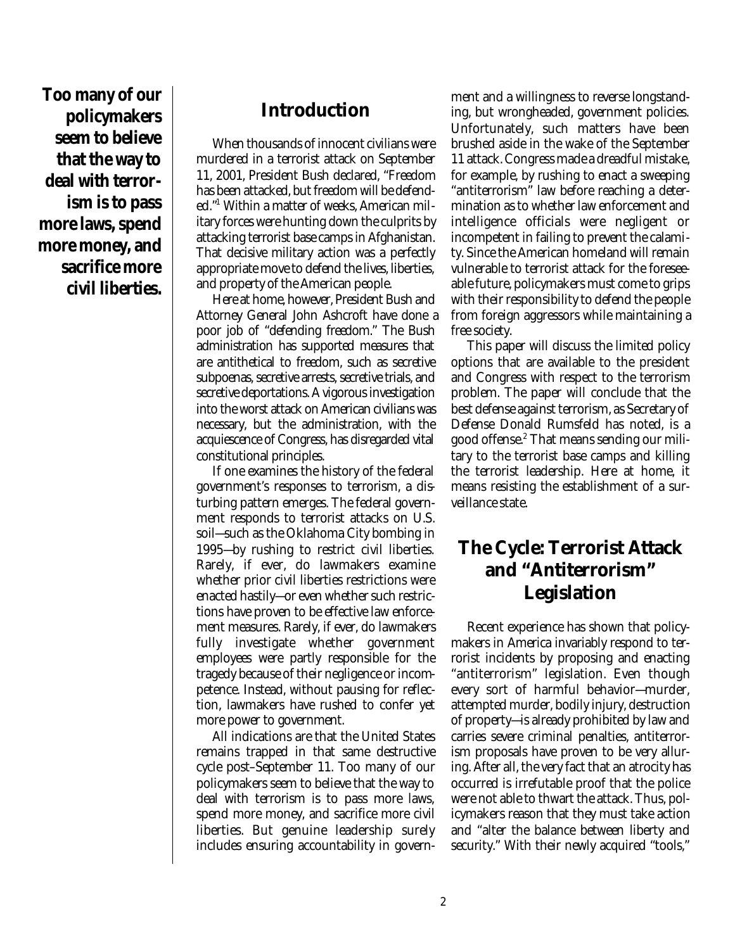**Too many of our policymakers seem to believe that the way to deal with terrorism is to pass more laws, spend more money, and sacrifice more civil liberties.**

### **Introduction**

When thousands of innocent civilians were murdered in a terrorist attack on September 11, 2001, President Bush declared, "Freedom has been attacked, but freedom will be defended."<sup>1</sup> Within a matter of weeks, American military forces were hunting down the culprits by attacking terrorist base camps in Afghanistan. That decisive military action was a perfectly appropriate move to defend the lives, liberties, and property of the American people.

Here at home, however, President Bush and Attorney General John Ashcroft have done a poor job of "defending freedom." The Bush administration has supported measures that are antithetical to freedom, such as secretive subpoenas, secretive arrests, secretive trials, and secretive deportations. A vigorous investigation into the worst attack on American civilians was necessary, but the administration, with the acquiescence of Congress, has disregarded vital constitutional principles.

If one examines the history of the federal government's responses to terrorism, a disturbing pattern emerges. The federal government responds to terrorist attacks on U.S. soil—such as the Oklahoma City bombing in 1995—by rushing to restrict civil liberties. Rarely, if ever, do lawmakers examine whether prior civil liberties restrictions were enacted hastily—or even whether such restrictions have proven to be effective law enforcement measures. Rarely, if ever, do lawmakers fully investigate whether government employees were partly responsible for the tragedy because of their negligence or incompetence. Instead, without pausing for reflection, lawmakers have rushed to confer yet more power to government.

All indications are that the United States remains trapped in that same destructive cycle post–September 11. Too many of our policymakers seem to believe that the way to deal with terrorism is to pass more laws, spend more money, and sacrifice more civil liberties. But genuine leadership surely includes ensuring accountability in government and a willingness to reverse longstanding, but wrongheaded, government policies. Unfortunately, such matters have been brushed aside in the wake of the September 11 attack. Congress made a dreadful mistake, for example, by rushing to enact a sweeping "antiterrorism" law before reaching a determination as to whether law enforcement and intelligence officials were negligent or incompetent in failing to prevent the calamity. Since the American homeland will remain vulnerable to terrorist attack for the foreseeable future, policymakers must come to grips with their responsibility to defend the people from foreign aggressors while maintaining a free society.

This paper will discuss the limited policy options that are available to the president and Congress with respect to the terrorism problem. The paper will conclude that the best defense against terrorism, as Secretary of Defense Donald Rumsfeld has noted, is a good offense.<sup>2</sup> That means sending our military to the terrorist base camps and killing the terrorist leadership. Here at home, it means resisting the establishment of a surveillance state.

# **The Cycle: Terrorist Attack and "Antiterrorism" Legislation**

Recent experience has shown that policymakers in America invariably respond to terrorist incidents by proposing and enacting "antiterrorism" legislation. Even though every sort of harmful behavior—murder, attempted murder, bodily injury, destruction of property—is already prohibited by law and carries severe criminal penalties, antiterrorism proposals have proven to be very alluring. After all, the very fact that an atrocity has occurred is irrefutable proof that the police were not able to thwart the attack. Thus, policymakers reason that they must take action and "alter the balance between liberty and security." With their newly acquired "tools,"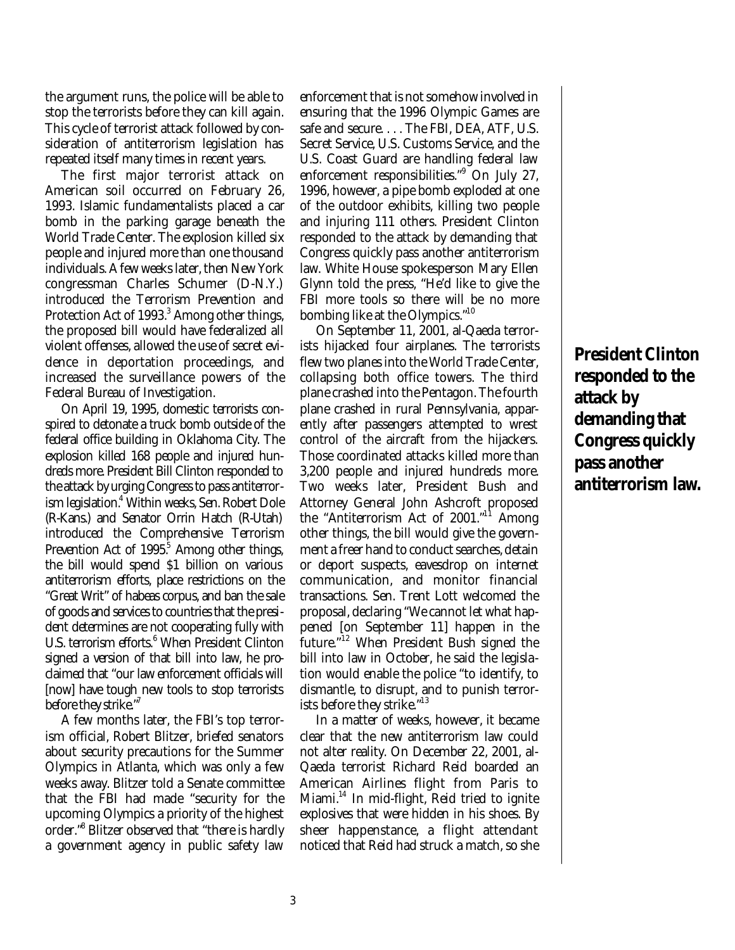the argument runs, the police will be able to stop the terrorists before they can kill again. This cycle of terrorist attack followed by consideration of antiterrorism legislation has repeated itself many times in recent years.

The first major terrorist attack on American soil occurred on February 26, 1993. Islamic fundamentalists placed a car bomb in the parking garage beneath the World Trade Center. The explosion killed six people and injured more than one thousand individuals. A few weeks later, then New York congressman Charles Schumer (D-N.Y.) introduced the Terrorism Prevention and Protection Act of 1993.<sup>3</sup> Among other things, the proposed bill would have federalized all violent offenses, allowed the use of secret evidence in deportation proceedings, and increased the surveillance powers of the Federal Bureau of Investigation.

On April 19, 1995, domestic terrorists conspired to detonate a truck bomb outside of the federal office building in Oklahoma City. The explosion killed 168 people and injured hundreds more. President Bill Clinton responded to the attack by urging Congress to pass antiterrorism legislation.<sup>4</sup> Within weeks, Sen. Robert Dole (R-Kans.) and Senator Orrin Hatch (R-Utah) introduced the Comprehensive Terrorism Prevention Act of  $1995<sup>5</sup>$  Among other things, the bill would spend \$1 billion on various antiterrorism efforts, place restrictions on the "Great Writ" of habeas corpus, and ban the sale of goods and services to countries that the president determines are not cooperating fully with U.S. terrorism efforts.<sup>6</sup> When President Clinton signed a version of that bill into law, he proclaimed that "our law enforcement officials will [now] have tough new tools to stop terrorists before they strike."

A few months later, the FBI's top terrorism official, Robert Blitzer, briefed senators about security precautions for the Summer Olympics in Atlanta, which was only a few weeks away. Blitzer told a Senate committee that the FBI had made "security for the upcoming Olympics a priority of the highest order."<sup>8</sup> Blitzer observed that "there is hardly a government agency in public safety law

enforcement that is not somehow involved in ensuring that the 1996 Olympic Games are safe and secure. . . . The FBI, DEA, ATF, U.S. Secret Service, U.S. Customs Service, and the U.S. Coast Guard are handling federal law enforcement responsibilities."<sup>9</sup> On July 27, 1996, however, a pipe bomb exploded at one of the outdoor exhibits, killing two people and injuring 111 others. President Clinton responded to the attack by demanding that Congress quickly pass another antiterrorism law. White House spokesperson Mary Ellen Glynn told the press, "He'd like to give the FBI more tools so there will be no more bombing like at the Olympics."<sup>10</sup>

On September 11, 2001, al-Qaeda terrorists hijacked four airplanes. The terrorists flew two planes into the World Trade Center, collapsing both office towers. The third plane crashed into the Pentagon. The fourth plane crashed in rural Pennsylvania, apparently after passengers attempted to wrest control of the aircraft from the hijackers. Those coordinated attacks killed more than 3,200 people and injured hundreds more. Two weeks later, President Bush and Attorney General John Ashcroft proposed the "Antiterrorism Act of 2001."<sup>11</sup> Among other things, the bill would give the government a freer hand to conduct searches, detain or deport suspects, eavesdrop on internet communication, and monitor financial transactions. Sen. Trent Lott welcomed the proposal, declaring "We cannot let what happened [on September 11] happen in the future."<sup>12</sup> When President Bush signed the bill into law in October, he said the legislation would enable the police "to identify, to dismantle, to disrupt, and to punish terrorists before they strike."<sup>13</sup>

In a matter of weeks, however, it became clear that the new antiterrorism law could not alter reality. On December 22, 2001, al-Qaeda terrorist Richard Reid boarded an American Airlines flight from Paris to Miami.<sup>14</sup> In mid-flight, Reid tried to ignite explosives that were hidden in his shoes. By sheer happenstance, a flight attendant noticed that Reid had struck a match, so she

**President Clinton responded to the attack by demanding that Congress quickly pass another antiterrorism law.**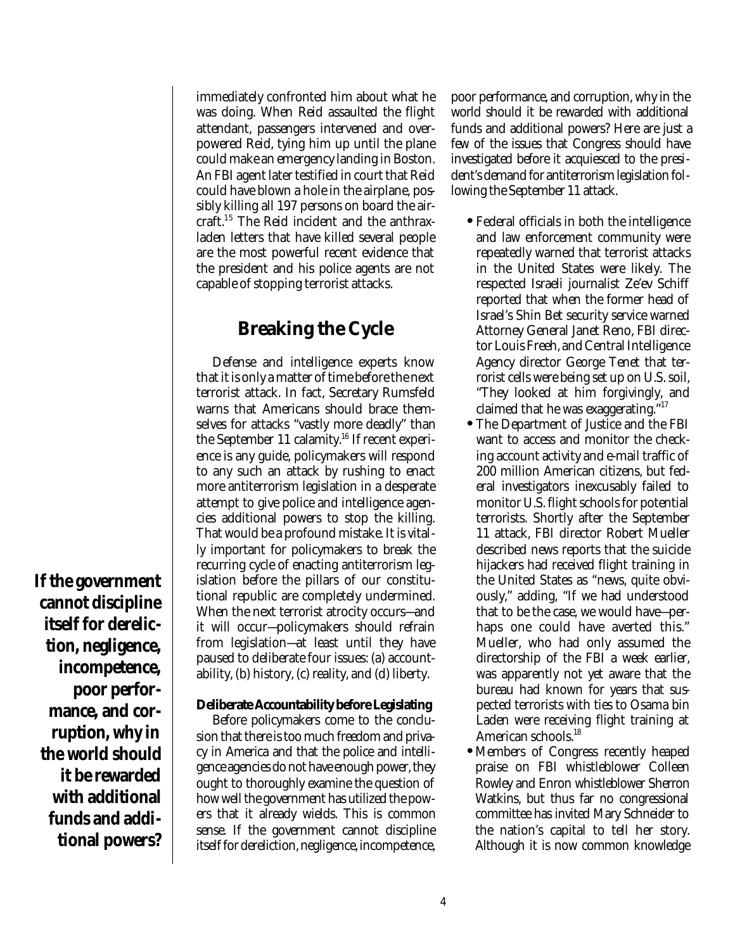immediately confronted him about what he was doing. When Reid assaulted the flight attendant, passengers intervened and overpowered Reid, tying him up until the plane could make an emergency landing in Boston. An FBI agent later testified in court that Reid could have blown a hole in the airplane, possibly killing all 197 persons on board the aircraft.<sup>15</sup> The Reid incident and the anthraxladen letters that have killed several people are the most powerful recent evidence that the president and his police agents are not capable of stopping terrorist attacks.

# **Breaking the Cycle**

Defense and intelligence experts know that it is only a matter of time before the next terrorist attack. In fact, Secretary Rumsfeld warns that Americans should brace themselves for attacks "vastly more deadly" than the September 11 calamity.<sup>16</sup> If recent experience is any guide, policymakers will respond to any such an attack by rushing to enact more antiterrorism legislation in a desperate attempt to give police and intelligence agencies additional powers to stop the killing. That would be a profound mistake. It is vitally important for policymakers to break the recurring cycle of enacting antiterrorism legislation before the pillars of our constitutional republic are completely undermined. When the next terrorist atrocity occurs—and it will occur—policymakers should refrain from legislation—at least until they have paused to deliberate four issues: (a) accountability, (b) history, (c) reality, and (d) liberty.

#### **Deliberate Accountability before Legislating**

Before policymakers come to the conclusion that there is too much freedom and privacy in America and that the police and intelligence agencies do not have enough power, they ought to thoroughly examine the question of how well the government has utilized the powers that it already wields. This is common sense. If the government cannot discipline itself for dereliction, negligence, incompetence,

poor performance, and corruption, why in the world should it be rewarded with additional funds and additional powers? Here are just a few of the issues that Congress should have investigated before it acquiesced to the president's demand for antiterrorism legislation following the September 11 attack.

- **•** Federal officials in both the intelligence and law enforcement community were repeatedly warned that terrorist attacks in the United States were likely. The respected Israeli journalist Ze'ev Schiff reported that when the former head of Israel's Shin Bet security service warned Attorney General Janet Reno, FBI director Louis Freeh, and Central Intelligence Agency director George Tenet that terrorist cells were being set up on U.S. soil, "They looked at him forgivingly, and claimed that he was exaggerating."<sup>17</sup>
- **•** The Department of Justice and the FBI want to access and monitor the checking account activity and e-mail traffic of 200 million American citizens, but federal investigators inexcusably failed to monitor U.S. flight schools for potential terrorists. Shortly after the September 11 attack, FBI director Robert Mueller described news reports that the suicide hijackers had received flight training in the United States as "news, quite obviously," adding, "If we had understood that to be the case, we would have—perhaps one could have averted this." Mueller, who had only assumed the directorship of the FBI a week earlier, was apparently not yet aware that the bureau had known for years that suspected terrorists with ties to Osama bin Laden were receiving flight training at American schools.<sup>18</sup>
- **•** Members of Congress recently heaped praise on FBI whistleblower Colleen Rowley and Enron whistleblower Sherron Watkins, but thus far no congressional committee has invited Mary Schneider to the nation's capital to tell her story. Although it is now common knowledge

**If the government cannot discipline itself for dereliction, negligence, incompetence, poor performance, and corruption, why in the world should it be rewarded with additional funds and additional powers?**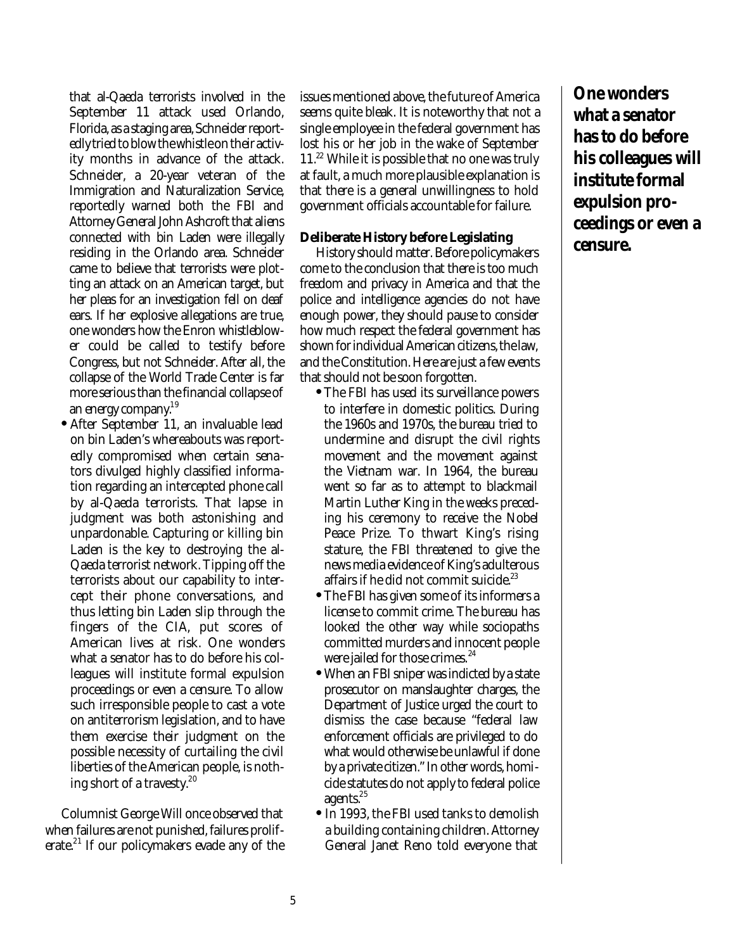that al-Qaeda terrorists involved in the September 11 attack used Orlando, Florida, as a staging area, Schneider reportedly tried to blow the whistle on their activity months in advance of the attack. Schneider, a 20-year veteran of the Immigration and Naturalization Service, reportedly warned both the FBI and Attorney General John Ashcroft that aliens connected with bin Laden were illegally residing in the Orlando area. Schneider came to believe that terrorists were plotting an attack on an American target, but her pleas for an investigation fell on deaf ears. If her explosive allegations are true, one wonders how the Enron whistleblower could be called to testify before Congress, but not Schneider. After all, the collapse of the World Trade Center is far more serious than the financial collapse of an energy company.<sup>19</sup>

**•** After September 11, an invaluable lead on bin Laden's whereabouts was reportedly compromised when certain senators divulged highly classified information regarding an intercepted phone call by al-Qaeda terrorists. That lapse in judgment was both astonishing and unpardonable. Capturing or killing bin Laden is the key to destroying the al-Qaeda terrorist network. Tipping off the terrorists about our capability to intercept their phone conversations, and thus letting bin Laden slip through the fingers of the CIA, put scores of American lives at risk. One wonders what a senator has to do before his colleagues will institute formal expulsion proceedings or even a censure. To allow such irresponsible people to cast a vote on antiterrorism legislation, and to have them exercise their judgment on the possible necessity of curtailing the civil liberties of the American people, is nothing short of a travesty. $20$ 

Columnist George Will once observed that when failures are not punished, failures proliferate.<sup>21</sup> If our policymakers evade any of the issues mentioned above, the future of America seems quite bleak. It is noteworthy that not a single employee in the federal government has lost his or her job in the wake of September 11.<sup>22</sup> While it is possible that no one was truly at fault, a much more plausible explanation is that there is a general unwillingness to hold government officials accountable for failure.

#### **Deliberate History before Legislating**

History should matter. Before policymakers come to the conclusion that there is too much freedom and privacy in America and that the police and intelligence agencies do not have enough power, they should pause to consider how much respect the federal government has shown for individual American citizens, the law, and the Constitution. Here are just a few events that should not be soon forgotten.

- **•**The FBI has used its surveillance powers to interfere in domestic politics. During the 1960s and 1970s, the bureau tried to undermine and disrupt the civil rights movement and the movement against the Vietnam war. In 1964, the bureau went so far as to attempt to blackmail Martin Luther King in the weeks preceding his ceremony to receive the Nobel Peace Prize. To thwart King's rising stature, the FBI threatened to give the news media evidence of King's adulterous affairs if he did not commit suicide.<sup>23</sup>
- **•**The FBI has given some of its informers a license to commit crime. The bureau has looked the other way while sociopaths committed murders and innocent people were jailed for those crimes.<sup>24</sup>
- **•** When an FBI sniper was indicted by a state prosecutor on manslaughter charges, the Department of Justice urged the court to dismiss the case because "federal law enforcement officials are privileged to do what would otherwise be unlawful if done by a private citizen." In other words, homicide statutes do not apply to federal police agents.<sup>25</sup>
- **•** In 1993, the FBI used tanks to demolish a building containing children. Attorney General Janet Reno told everyone that

**One wonders what a senator has to do before his colleagues will institute formal expulsion proceedings or even a censure.**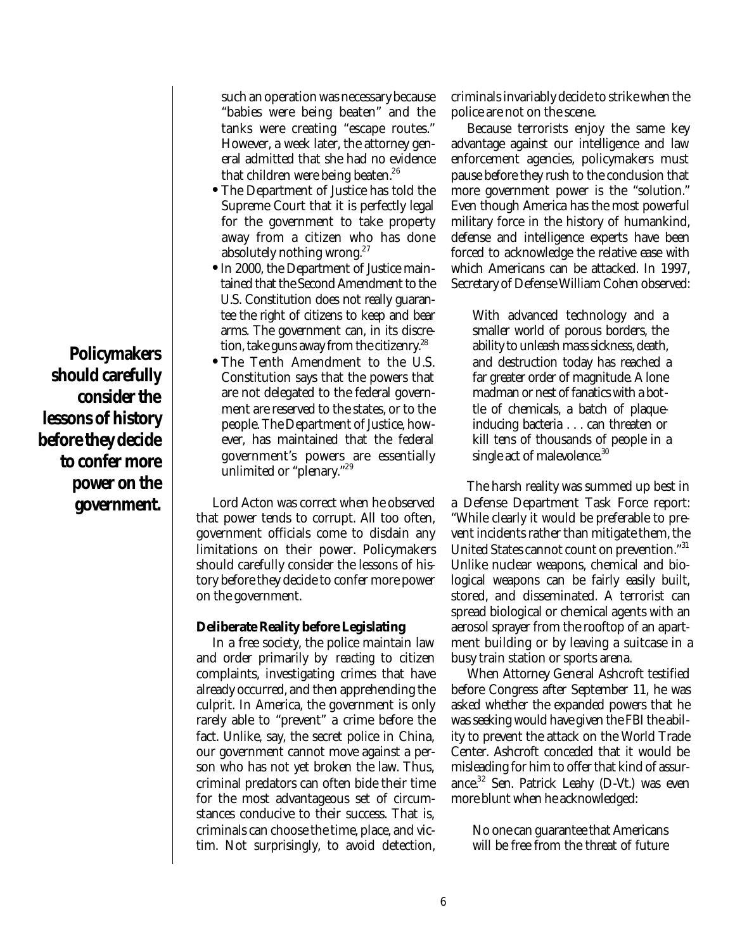**Policymakers should carefully consider the lessons of history before they decide to confer more power on the government.**

such an operation was necessary because "babies were being beaten" and the tanks were creating "escape routes." However, a week later, the attorney general admitted that she had no evidence that children were being beaten.<sup>26</sup>

- **•** The Department of Justice has told the Supreme Court that it is perfectly legal for the government to take property away from a citizen who has done absolutely nothing wrong.<sup>27</sup>
- **•**In 2000, the Department of Justice maintained that the Second Amendment to the U.S. Constitution does not really guarantee the right of citizens to keep and bear arms. The government can, in its discretion, take guns away from the citizenry.<sup>28</sup>
- **•** The Tenth Amendment to the U.S. Constitution says that the powers that are not delegated to the federal government are reserved to the states, or to the people. The Department of Justice, however, has maintained that the federal government's powers are essentially unlimited or "plenary."<sup>29</sup>

Lord Acton was correct when he observed that power tends to corrupt. All too often, government officials come to disdain any limitations on their power. Policymakers should carefully consider the lessons of history before they decide to confer more power on the government.

#### **Deliberate Reality before Legislating**

In a free society, the police maintain law and order primarily by *reacting* to citizen complaints, investigating crimes that have already occurred, and then apprehending the culprit. In America, the government is only rarely able to "prevent" a crime before the fact. Unlike, say, the secret police in China, our government cannot move against a person who has not yet broken the law. Thus, criminal predators can often bide their time for the most advantageous set of circumstances conducive to their success. That is, criminals can choose the time, place, and victim. Not surprisingly, to avoid detection,

criminals invariably decide to strike when the police are not on the scene.

Because terrorists enjoy the same key advantage against our intelligence and law enforcement agencies, policymakers must pause before they rush to the conclusion that more government power is the "solution." Even though America has the most powerful military force in the history of humankind, defense and intelligence experts have been forced to acknowledge the relative ease with which Americans can be attacked. In 1997, Secretary of Defense William Cohen observed:

With advanced technology and a smaller world of porous borders, the ability to unleash mass sickness, death, and destruction today has reached a far greater order of magnitude. A lone madman or nest of fanatics with a bottle of chemicals, a batch of plaqueinducing bacteria . . . can threaten or kill tens of thousands of people in a single act of malevolence.<sup>30</sup>

The harsh reality was summed up best in a Defense Department Task Force report: "While clearly it would be preferable to prevent incidents rather than mitigate them, the United States cannot count on prevention."<sup>31</sup> Unlike nuclear weapons, chemical and biological weapons can be fairly easily built, stored, and disseminated. A terrorist can spread biological or chemical agents with an aerosol sprayer from the rooftop of an apartment building or by leaving a suitcase in a busy train station or sports arena.

When Attorney General Ashcroft testified before Congress after September 11, he was asked whether the expanded powers that he was seeking would have given the FBI the ability to prevent the attack on the World Trade Center. Ashcroft conceded that it would be misleading for him to offer that kind of assurance.<sup>32</sup> Sen. Patrick Leahy (D-Vt.) was even more blunt when he acknowledged:

No one can guarantee that Americans will be free from the threat of future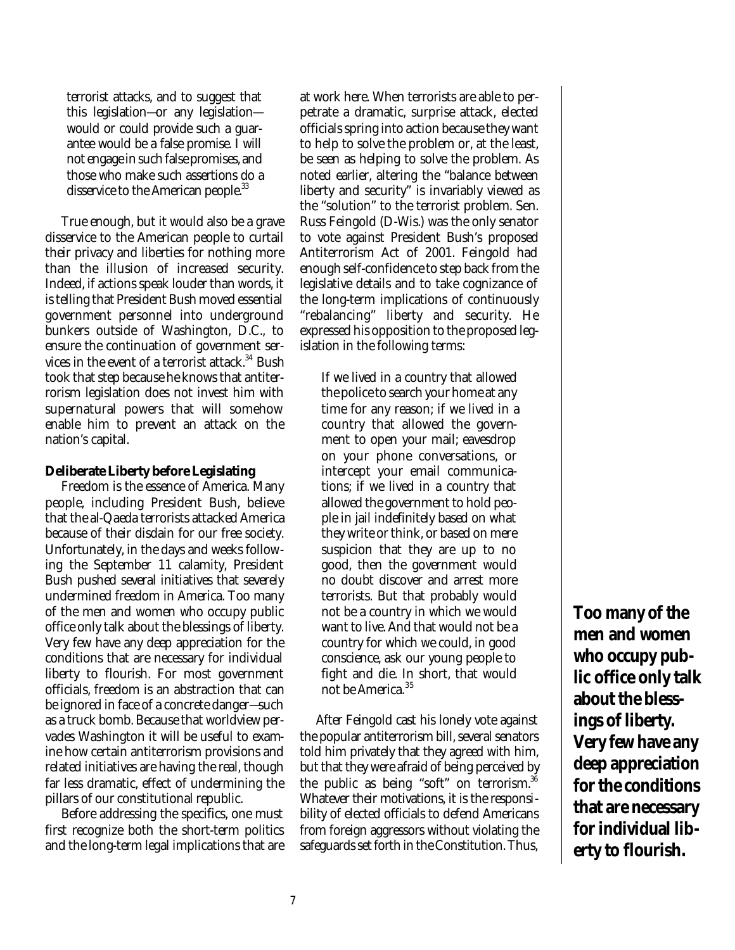terrorist attacks, and to suggest that this legislation—or any legislation would or could provide such a guarantee would be a false promise. I will not engage in such false promises, and those who make such assertions do a disservice to the American people.<sup>33</sup>

True enough, but it would also be a grave disservice to the American people to curtail their privacy and liberties for nothing more than the illusion of increased security. Indeed, if actions speak louder than words, it is telling that President Bush moved essential government personnel into underground bunkers outside of Washington, D.C., to ensure the continuation of government services in the event of a terrorist attack.<sup>34</sup> Bush took that step because he knows that antiterrorism legislation does not invest him with supernatural powers that will somehow enable him to prevent an attack on the nation's capital.

#### **Deliberate Liberty before Legislating**

Freedom is the essence of America. Many people, including President Bush, believe that the al-Qaeda terrorists attacked America because of their disdain for our free society. Unfortunately, in the days and weeks following the September 11 calamity, President Bush pushed several initiatives that severely undermined freedom in America. Too many of the men and women who occupy public office only talk about the blessings of liberty. Very few have any deep appreciation for the conditions that are necessary for individual liberty to flourish. For most government officials, freedom is an abstraction that can be ignored in face of a concrete danger—such as a truck bomb. Because that worldview pervades Washington it will be useful to examine how certain antiterrorism provisions and related initiatives are having the real, though far less dramatic, effect of undermining the pillars of our constitutional republic.

Before addressing the specifics, one must first recognize both the short-term politics and the long-term legal implications that are at work here. When terrorists are able to perpetrate a dramatic, surprise attack, elected officials spring into action because they want to help to solve the problem or, at the least, be seen as helping to solve the problem. As noted earlier, altering the "balance between liberty and security" is invariably viewed as the "solution" to the terrorist problem. Sen. Russ Feingold (D-Wis.) was the only senator to vote against President Bush's proposed Antiterrorism Act of 2001. Feingold had enough self-confidence to step back from the legislative details and to take cognizance of the long-term implications of continuously "rebalancing" liberty and security. He expressed his opposition to the proposed legislation in the following terms:

If we lived in a country that allowed the police to search your home at any time for any reason; if we lived in a country that allowed the government to open your mail; eavesdrop on your phone conversations, or intercept your email communications; if we lived in a country that allowed the government to hold people in jail indefinitely based on what they write or think, or based on mere suspicion that they are up to no good, then the government would no doubt discover and arrest more terrorists. But that probably would not be a country in which we would want to live. And that would not be a country for which we could, in good conscience, ask our young people to fight and die. In short, that would not be America.<sup>35</sup>

After Feingold cast his lonely vote against the popular antiterrorism bill, several senators told him privately that they agreed with him, but that they were afraid of being perceived by the public as being "soft" on terrorism. $36$ Whatever their motivations, it is the responsibility of elected officials to defend Americans from foreign aggressors without violating the safeguards set forth in the Constitution. Thus,

**Too many of the men and women who occupy public office only talk about the blessings of liberty. Very few have any deep appreciation for the conditions that are necessary for individual liberty to flourish.**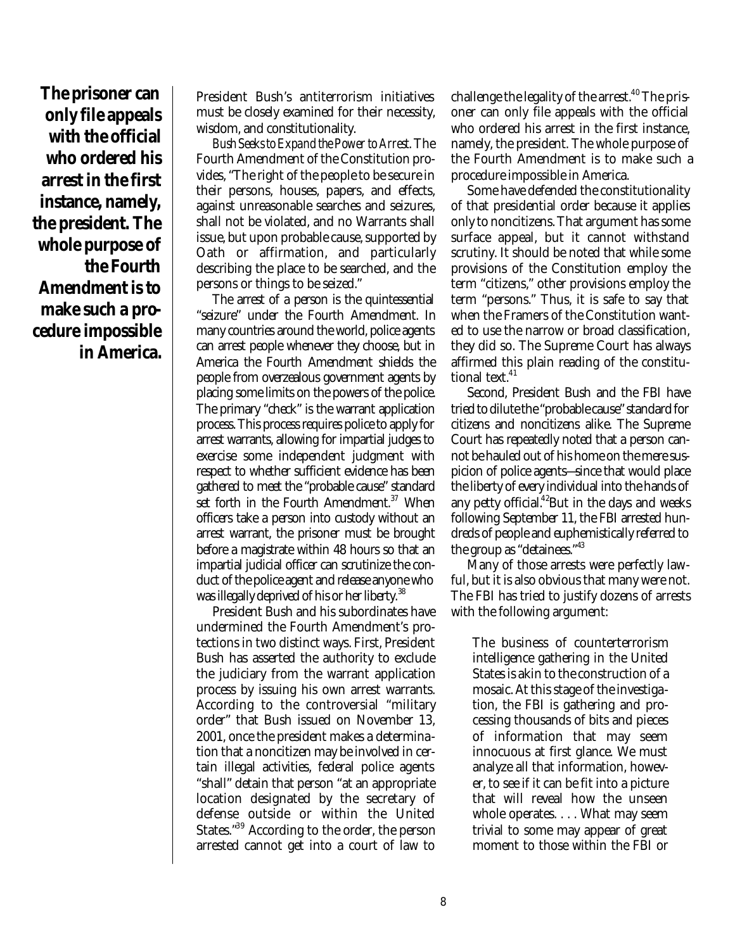**The prisoner can only file appeals with the official who ordered his arrest in the first instance, namely, the president. The whole purpose of the Fourth Amendment is to make such a procedure impossible in America.**

President Bush's antiterrorism initiatives must be closely examined for their necessity, wisdom, and constitutionality.

*Bush Seeks to Expand the Power to Arrest*. The Fourth Amendment of the Constitution provides, "The right of the people to be secure in their persons, houses, papers, and effects, against unreasonable searches and seizures, shall not be violated, and no Warrants shall issue, but upon probable cause, supported by Oath or affirmation, and particularly describing the place to be searched, and the persons or things to be seized."

The arrest of a person is the quintessential "seizure" under the Fourth Amendment. In many countries around the world, police agents can arrest people whenever they choose, but in America the Fourth Amendment shields the people from overzealous government agents by placing some limits on the powers of the police. The primary "check" is the warrant application process. This process requires police to apply for arrest warrants, allowing for impartial judges to exercise some independent judgment with respect to whether sufficient evidence has been gathered to meet the "probable cause" standard set forth in the Fourth Amendment. $37$  When officers take a person into custody without an arrest warrant, the prisoner must be brought before a magistrate within 48 hours so that an impartial judicial officer can scrutinize the conduct of the police agent and release anyone who was illegally deprived of his or her liberty.<sup>38</sup>

President Bush and his subordinates have undermined the Fourth Amendment's protections in two distinct ways. First, President Bush has asserted the authority to exclude the judiciary from the warrant application process by issuing his own arrest warrants. According to the controversial "military order" that Bush issued on November 13, 2001, once the president makes a determination that a noncitizen may be involved in certain illegal activities, federal police agents "shall" detain that person "at an appropriate location designated by the secretary of defense outside or within the United States."<sup>39</sup> According to the order, the person arrested cannot get into a court of law to

challenge the legality of the arrest. $40$  The prisoner can only file appeals with the official who ordered his arrest in the first instance, namely, the president. The whole purpose of the Fourth Amendment is to make such a procedure impossible in America.

Some have defended the constitutionality of that presidential order because it applies only to noncitizens. That argument has some surface appeal, but it cannot withstand scrutiny. It should be noted that while some provisions of the Constitution employ the term "citizens," other provisions employ the term "persons." Thus, it is safe to say that when the Framers of the Constitution wanted to use the narrow or broad classification, they did so. The Supreme Court has always affirmed this plain reading of the constitutional text.<sup>41</sup>

Second, President Bush and the FBI have tried to dilute the "probable cause" standard for citizens and noncitizens alike. The Supreme Court has repeatedly noted that a person cannot be hauled out of his home on the mere suspicion of police agents—since that would place the liberty of every individual into the hands of any petty official. $42$ But in the days and weeks following September 11, the FBI arrested hundreds of people and euphemistically referred to the group as "detainees."<sup>43</sup>

Many of those arrests were perfectly lawful, but it is also obvious that many were not. The FBI has tried to justify dozens of arrests with the following argument:

The business of counterterrorism intelligence gathering in the United States is akin to the construction of a mosaic. At this stage of the investigation, the FBI is gathering and processing thousands of bits and pieces of information that may seem innocuous at first glance. We must analyze all that information, however, to see if it can be fit into a picture that will reveal how the unseen whole operates. . . . What may seem trivial to some may appear of great moment to those within the FBI or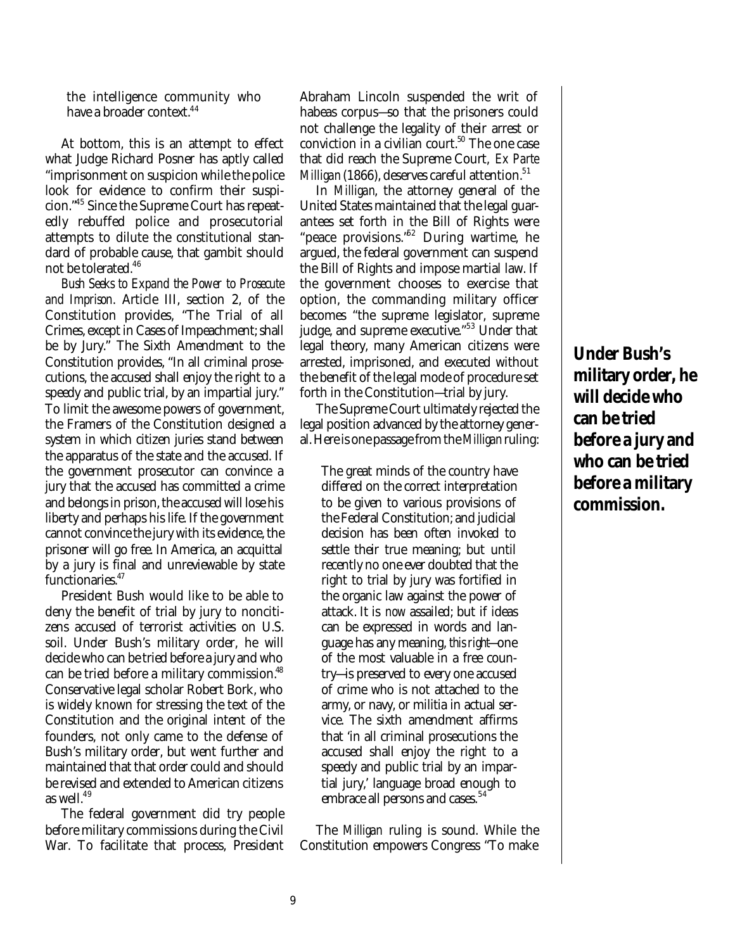the intelligence community who have a broader context.<sup>44</sup>

At bottom, this is an attempt to effect what Judge Richard Posner has aptly called "imprisonment on suspicion while the police look for evidence to confirm their suspicion."<sup>45</sup> Since the Supreme Court has repeatedly rebuffed police and prosecutorial attempts to dilute the constitutional standard of probable cause, that gambit should not be tolerated.<sup>46</sup>

*Bush Seeks to Expand the Power to Prosecute and Imprison*. Article III, section 2, of the Constitution provides, "The Trial of all Crimes, except in Cases of Impeachment; shall be by Jury." The Sixth Amendment to the Constitution provides, "In all criminal prosecutions, the accused shall enjoy the right to a speedy and public trial, by an impartial jury." To limit the awesome powers of government, the Framers of the Constitution designed a system in which citizen juries stand between the apparatus of the state and the accused. If the government prosecutor can convince a jury that the accused has committed a crime and belongs in prison, the accused will lose his liberty and perhaps his life. If the government cannot convince the jury with its evidence, the prisoner will go free. In America, an acquittal by a jury is final and unreviewable by state functionaries.<sup>47</sup>

President Bush would like to be able to deny the benefit of trial by jury to noncitizens accused of terrorist activities on U.S. soil. Under Bush's military order, he will decide who can be tried before a jury and who can be tried before a military commission.<sup>48</sup> Conservative legal scholar Robert Bork, who is widely known for stressing the text of the Constitution and the original intent of the founders, not only came to the defense of Bush's military order, but went further and maintained that that order could and should be revised and extended to American citizens as well.<sup>49</sup>

The federal government did try people before military commissions during the Civil War. To facilitate that process, President Abraham Lincoln suspended the writ of habeas corpus—so that the prisoners could not challenge the legality of their arrest or conviction in a civilian court. $50$  The one case that did reach the Supreme Court, *Ex Parte Milligan* (1866), deserves careful attention.<sup>51</sup>

In *Milligan*, the attorney general of the United States maintained that the legal guarantees set forth in the Bill of Rights were "peace provisions.<sup>52</sup> During wartime, he argued, the federal government can suspend the Bill of Rights and impose martial law. If the government chooses to exercise that option, the commanding military officer becomes "the supreme legislator, supreme judge, and supreme executive."<sup>53</sup> Under that legal theory, many American citizens were arrested, imprisoned, and executed without the benefit of the legal mode of procedure set forth in the Constitution—trial by jury.

The Supreme Court ultimately rejected the legal position advanced by the attorney general. Here is one passage from the *Milligan*ruling:

The great minds of the country have differed on the correct interpretation to be given to various provisions of the Federal Constitution; and judicial decision has been often invoked to settle their true meaning; but until recently no one ever doubted that the right to trial by jury was fortified in the organic law against the power of attack. It is *now* assailed; but if ideas can be expressed in words and language has any meaning, *this right*—one of the most valuable in a free country—is preserved to every one accused of crime who is not attached to the army, or navy, or militia in actual service. The sixth amendment affirms that 'in all criminal prosecutions the accused shall enjoy the right to a speedy and public trial by an impartial jury,' language broad enough to embrace all persons and cases.<sup>54</sup>

The *Milligan* ruling is sound. While the Constitution empowers Congress "To make

**Under Bush's military order, he will decide who can be tried before a jury and who can be tried before a military commission.**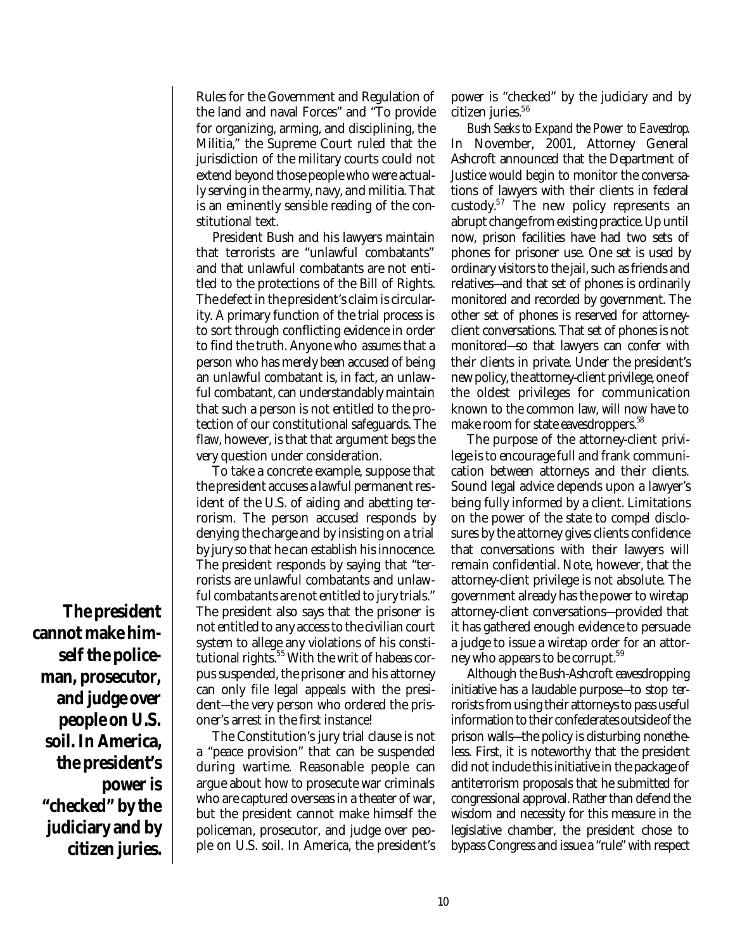Rules for the Government and Regulation of the land and naval Forces" and "To provide for organizing, arming, and disciplining, the Militia," the Supreme Court ruled that the jurisdiction of the military courts could not extend beyond those people who were actually serving in the army, navy, and militia. That is an eminently sensible reading of the constitutional text.

President Bush and his lawyers maintain that terrorists are "unlawful combatants" and that unlawful combatants are not entitled to the protections of the Bill of Rights. The defect in the president's claim is circularity. A primary function of the trial process is to sort through conflicting evidence in order to find the truth. Anyone who *assumes* that a person who has merely been accused of being an unlawful combatant is, in fact, an unlawful combatant, can understandably maintain that such a person is not entitled to the protection of our constitutional safeguards. The flaw, however, is that that argument begs the very question under consideration.

To take a concrete example, suppose that the president accuses a lawful permanent resident of the U.S. of aiding and abetting terrorism. The person accused responds by denying the charge and by insisting on a trial by jury so that he can establish his innocence. The president responds by saying that "terrorists are unlawful combatants and unlawful combatants are not entitled to jury trials." The president also says that the prisoner is not entitled to any access to the civilian court system to allege any violations of his constitutional rights.<sup>55</sup> With the writ of habeas corpus suspended, the prisoner and his attorney can only file legal appeals with the president—the very person who ordered the prisoner's arrest in the first instance!

The Constitution's jury trial clause is not a "peace provision" that can be suspended during wartime. Reasonable people can argue about how to prosecute war criminals who are captured overseas in a theater of war, but the president cannot make himself the policeman, prosecutor, and judge over people on U.S. soil. In America, the president's

power is "checked" by the judiciary and by citizen juries.<sup>56</sup>

*Bush Seeks to Expand the Power to Eavesdrop*. In November, 2001, Attorney General Ashcroft announced that the Department of Justice would begin to monitor the conversations of lawyers with their clients in federal custody.<sup>57</sup> The new policy represents an abrupt change from existing practice. Up until now, prison facilities have had two sets of phones for prisoner use. One set is used by ordinary visitors to the jail, such as friends and relatives—and that set of phones is ordinarily monitored and recorded by government. The other set of phones is reserved for attorneyclient conversations. That set of phones is not monitored—so that lawyers can confer with their clients in private. Under the president's new policy, the attorney-client privilege, one of the oldest privileges for communication known to the common law, will now have to make room for state eavesdroppers.<sup>38</sup>

The purpose of the attorney-client privilege is to encourage full and frank communication between attorneys and their clients. Sound legal advice depends upon a lawyer's being fully informed by a client. Limitations on the power of the state to compel disclosures by the attorney gives clients confidence that conversations with their lawyers will remain confidential. Note, however, that the attorney-client privilege is not absolute. The government already has the power to wiretap attorney-client conversations—provided that it has gathered enough evidence to persuade a judge to issue a wiretap order for an attorney who appears to be corrupt.<sup>59</sup>

Although the Bush-Ashcroft eavesdropping initiative has a laudable purpose—to stop terrorists from using their attorneys to pass useful information to their confederates outside of the prison walls—the policy is disturbing nonetheless. First, it is noteworthy that the president did not include this initiative in the package of antiterrorism proposals that he submitted for congressional approval. Rather than defend the wisdom and necessity for this measure in the legislative chamber, the president chose to bypass Congress and issue a "rule" with respect

**The president cannot make himself the policeman, prosecutor, and judge over people on U.S. soil. In America, the president's power is "checked" by the judiciary and by citizen juries.**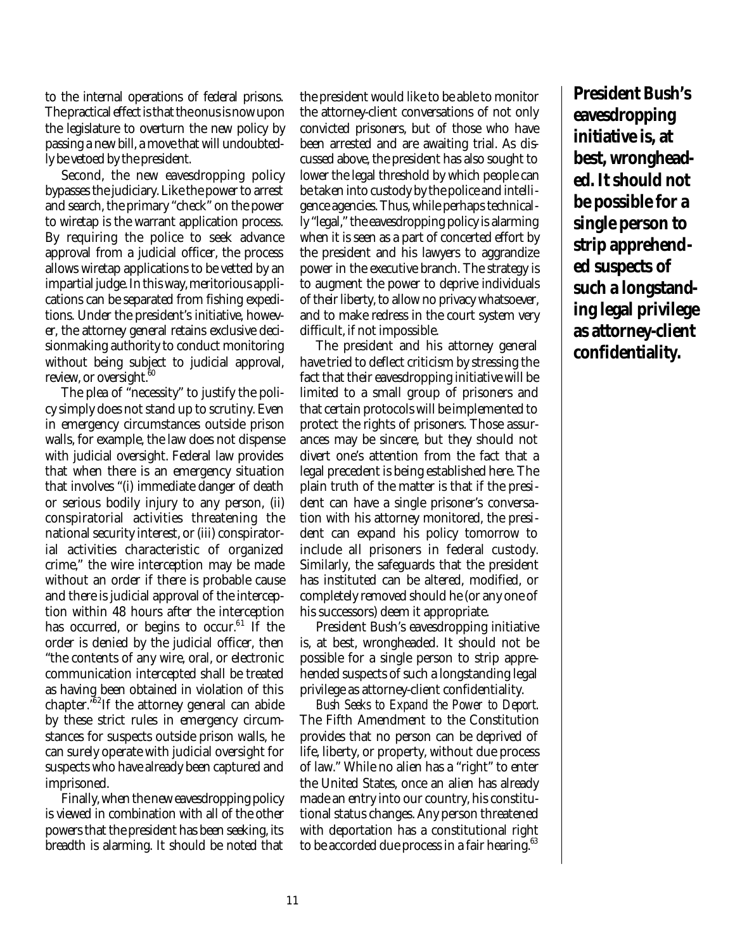to the internal operations of federal prisons. The practical effect is that the onus is now upon the legislature to overturn the new policy by passing a new bill, a move that will undoubtedly be vetoed by the president.

Second, the new eavesdropping policy bypasses the judiciary. Like the power to arrest and search, the primary "check" on the power to wiretap is the warrant application process. By requiring the police to seek advance approval from a judicial officer, the process allows wiretap applications to be vetted by an impartial judge. In this way, meritorious applications can be separated from fishing expeditions. Under the president's initiative, however, the attorney general retains exclusive decisionmaking authority to conduct monitoring without being subject to judicial approval, review, or oversight.<sup>60</sup>

The plea of "necessity" to justify the policy simply does not stand up to scrutiny. Even in emergency circumstances outside prison walls, for example, the law does not dispense with judicial oversight. Federal law provides that when there is an emergency situation that involves "(i) immediate danger of death or serious bodily injury to any person, (ii) conspiratorial activities threatening the national security interest, or (iii) conspiratorial activities characteristic of organized crime," the wire interception may be made without an order if there is probable cause and there is judicial approval of the interception within 48 hours after the interception has occurred, or begins to occur.<sup>61</sup> If the order is denied by the judicial officer, then "the contents of any wire, oral, or electronic communication intercepted shall be treated as having been obtained in violation of this chapter."<sup>62</sup>If the attorney general can abide by these strict rules in emergency circumstances for suspects outside prison walls, he can surely operate with judicial oversight for suspects who have already been captured and imprisoned.

Finally, when the new eavesdropping policy is viewed in combination with all of the other powers that the president has been seeking, its breadth is alarming. It should be noted that the president would like to be able to monitor the attorney-client conversations of not only convicted prisoners, but of those who have been arrested and are awaiting trial. As discussed above, the president has also sought to lower the legal threshold by which people can be taken into custody by the police and intelligence agencies. Thus, while perhaps technically "legal," the eavesdropping policy is alarming when it is seen as a part of concerted effort by the president and his lawyers to aggrandize power in the executive branch. The strategy is to augment the power to deprive individuals of their liberty, to allow no privacy whatsoever, and to make redress in the court system very difficult, if not impossible.

The president and his attorney general have tried to deflect criticism by stressing the fact that their eavesdropping initiative will be limited to a small group of prisoners and that certain protocols will be implemented to protect the rights of prisoners. Those assurances may be sincere, but they should not divert one's attention from the fact that a legal precedent is being established here. The plain truth of the matter is that if the president can have a single prisoner's conversation with his attorney monitored, the president can expand his policy tomorrow to include all prisoners in federal custody. Similarly, the safeguards that the president has instituted can be altered, modified, or completely removed should he (or any one of his successors) deem it appropriate.

President Bush's eavesdropping initiative is, at best, wrongheaded. It should not be possible for a single person to strip apprehended suspects of such a longstanding legal privilege as attorney-client confidentiality.

*Bush Seeks to Expand the Power to Deport*. The Fifth Amendment to the Constitution provides that no person can be deprived of life, liberty, or property, without due process of law." While no alien has a "right" to enter the United States, once an alien has already made an entry into our country, his constitutional status changes. Any person threatened with deportation has a constitutional right to be accorded due process in a fair hearing.<sup>63</sup>

**President Bush's eavesdropping initiative is, at best, wrongheaded. It should not be possible for a single person to strip apprehended suspects of such a longstanding legal privilege as attorney-client confidentiality.**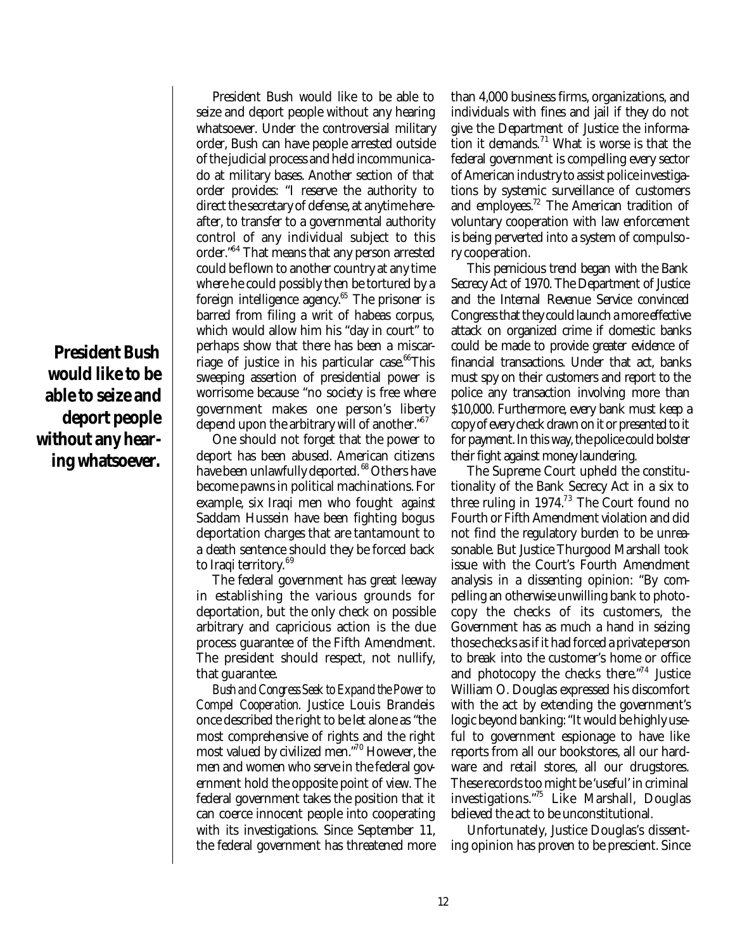**President Bush would like to be able to seize and deport people without any hearing whatsoever.** 

President Bush would like to be able to seize and deport people without any hearing whatsoever. Under the controversial military order, Bush can have people arrested outside of the judicial process and held incommunicado at military bases. Another section of that order provides: "I reserve the authority to direct the secretary of defense, at anytime hereafter, to transfer to a governmental authority control of any individual subject to this order."<sup>64</sup> That means that any person arrested could be flown to another country at any time where he could possibly then be tortured by a foreign intelligence agency.<sup>65</sup> The prisoner is barred from filing a writ of habeas corpus, which would allow him his "day in court" to perhaps show that there has been a miscarriage of justice in his particular case. $66$ This sweeping assertion of presidential power is worrisome because "no society is free where government makes one person's liberty depend upon the arbitrary will of another."<sup>67</sup>

One should not forget that the power to deport has been abused. American citizens have been unlawfully deported. <sup>68</sup> Others have become pawns in political machinations. For example, six Iraqi men who fought *against* Saddam Hussein have been fighting bogus deportation charges that are tantamount to a death sentence should they be forced back to Iraqi territory.<sup>69</sup>

The federal government has great leeway in establishing the various grounds for deportation, but the only check on possible arbitrary and capricious action is the due process guarantee of the Fifth Amendment. The president should respect, not nullify, that guarantee.

*Bush and Congress Seek to Expand the Power to Compel Cooperation*. Justice Louis Brandeis once described the right to be let alone as "the most comprehensive of rights and the right most valued by civilized men."<sup>70</sup> However, the men and women who serve in the federal government hold the opposite point of view. The federal government takes the position that it can coerce innocent people into cooperating with its investigations. Since September 11, the federal government has threatened more

than 4,000 business firms, organizations, and individuals with fines and jail if they do not give the Department of Justice the information it demands.<sup>71</sup> What is worse is that the federal government is compelling every sector of American industry to assist police investigations by systemic surveillance of customers and employees.<sup>72</sup> The American tradition of voluntary cooperation with law enforcement is being perverted into a system of compulsory cooperation.

This pernicious trend began with the Bank Secrecy Act of 1970. The Department of Justice and the Internal Revenue Service convinced Congress that they could launch a more effective attack on organized crime if domestic banks could be made to provide greater evidence of financial transactions. Under that act, banks must spy on their customers and report to the police any transaction involving more than \$10,000. Furthermore, every bank must keep a copy of every check drawn on it or presented to it for payment. In this way, the police could bolster their fight against money laundering.

The Supreme Court upheld the constitutionality of the Bank Secrecy Act in a six to three ruling in  $1974<sup>73</sup>$  The Court found no Fourth or Fifth Amendment violation and did not find the regulatory burden to be unreasonable. But Justice Thurgood Marshall took issue with the Court's Fourth Amendment analysis in a dissenting opinion: "By compelling an otherwise unwilling bank to photocopy the checks of its customers, the Government has as much a hand in seizing those checks as if it had forced a private person to break into the customer's home or office and photocopy the checks there."<sup>74</sup> Justice William O. Douglas expressed his discomfort with the act by extending the government's logic beyond banking: "It would be highly useful to government espionage to have like reports from all our bookstores, all our hardware and retail stores, all our drugstores. These records too might be 'useful' in criminal investigations."<sup>75</sup> Like Marshall, Douglas believed the act to be unconstitutional.

Unfortunately, Justice Douglas's dissenting opinion has proven to be prescient. Since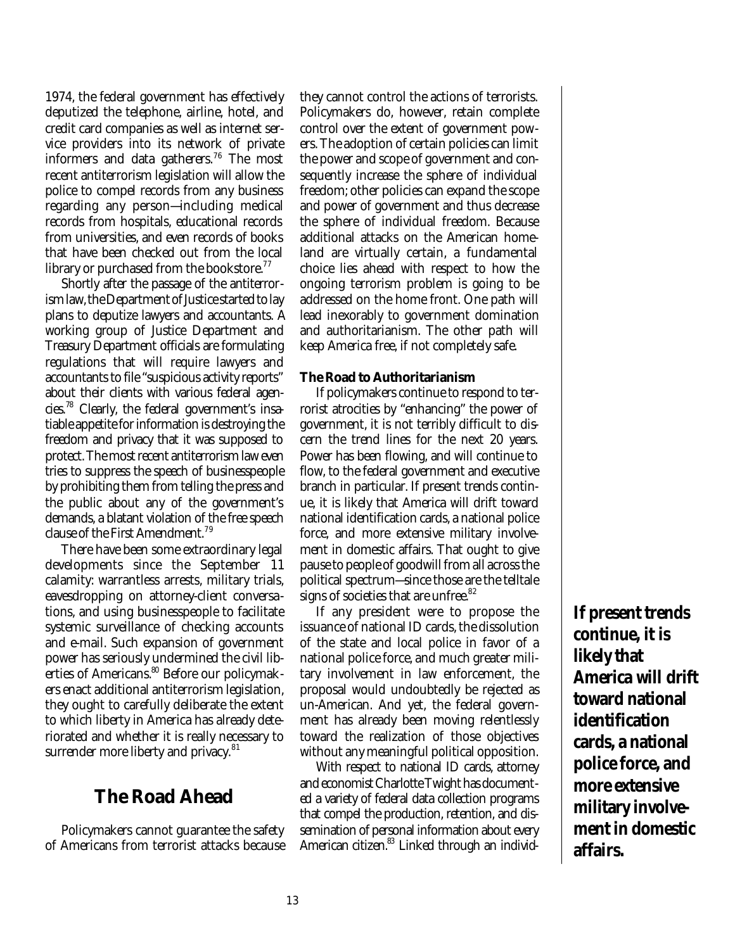1974, the federal government has effectively deputized the telephone, airline, hotel, and credit card companies as well as internet service providers into its network of private informers and data gatherers.<sup>76</sup> The most recent antiterrorism legislation will allow the police to compel records from any business regarding any person—including medical records from hospitals, educational records from universities, and even records of books that have been checked out from the local library or purchased from the bookstore.<sup>77</sup>

Shortly after the passage of the antiterrorism law, the Department of Justice started to lay plans to deputize lawyers and accountants. A working group of Justice Department and Treasury Department officials are formulating regulations that will require lawyers and accountants to file "suspicious activity reports" about their clients with various federal agencies.<sup>78</sup> Clearly, the federal government's insatiable appetite for information is destroying the freedom and privacy that it was supposed to protect. The most recent antiterrorism law even tries to suppress the speech of businesspeople by prohibiting them from telling the press and the public about any of the government's demands, a blatant violation of the free speech clause of the First Amendment.<sup>79</sup>

There have been some extraordinary legal developments since the September 11 calamity: warrantless arrests, military trials, eavesdropping on attorney-client conversations, and using businesspeople to facilitate systemic surveillance of checking accounts and e-mail. Such expansion of government power has seriously undermined the civil liberties of Americans.<sup>80</sup> Before our policymakers enact additional antiterrorism legislation, they ought to carefully deliberate the extent to which liberty in America has already deteriorated and whether it is really necessary to surrender more liberty and privacy.<sup>81</sup>

### **The Road Ahead**

Policymakers cannot guarantee the safety of Americans from terrorist attacks because they cannot control the actions of terrorists. Policymakers do, however, retain complete control over the extent of government powers. The adoption of certain policies can limit the power and scope of government and consequently increase the sphere of individual freedom; other policies can expand the scope and power of government and thus decrease the sphere of individual freedom. Because additional attacks on the American homeland are virtually certain, a fundamental choice lies ahead with respect to how the ongoing terrorism problem is going to be addressed on the home front. One path will lead inexorably to government domination and authoritarianism. The other path will keep America free, if not completely safe.

#### **The Road to Authoritarianism**

If policymakers continue to respond to terrorist atrocities by "enhancing" the power of government, it is not terribly difficult to discern the trend lines for the next 20 years. Power has been flowing, and will continue to flow, to the federal government and executive branch in particular. If present trends continue, it is likely that America will drift toward national identification cards, a national police force, and more extensive military involvement in domestic affairs. That ought to give pause to people of goodwill from all across the political spectrum—since those are the telltale signs of societies that are unfree.<sup>82</sup>

If any president were to propose the issuance of national ID cards, the dissolution of the state and local police in favor of a national police force, and much greater military involvement in law enforcement, the proposal would undoubtedly be rejected as un-American. And yet, the federal government has already been moving relentlessly toward the realization of those objectives without any meaningful political opposition.

With respect to national ID cards, attorney and economist Charlotte Twight has documented a variety of federal data collection programs that compel the production, retention, and dissemination of personal information about every American citizen.<sup>83</sup> Linked through an individ-

**If present trends continue, it is likely that America will drift toward national identification cards, a national police force, and more extensive military involvement in domestic affairs.**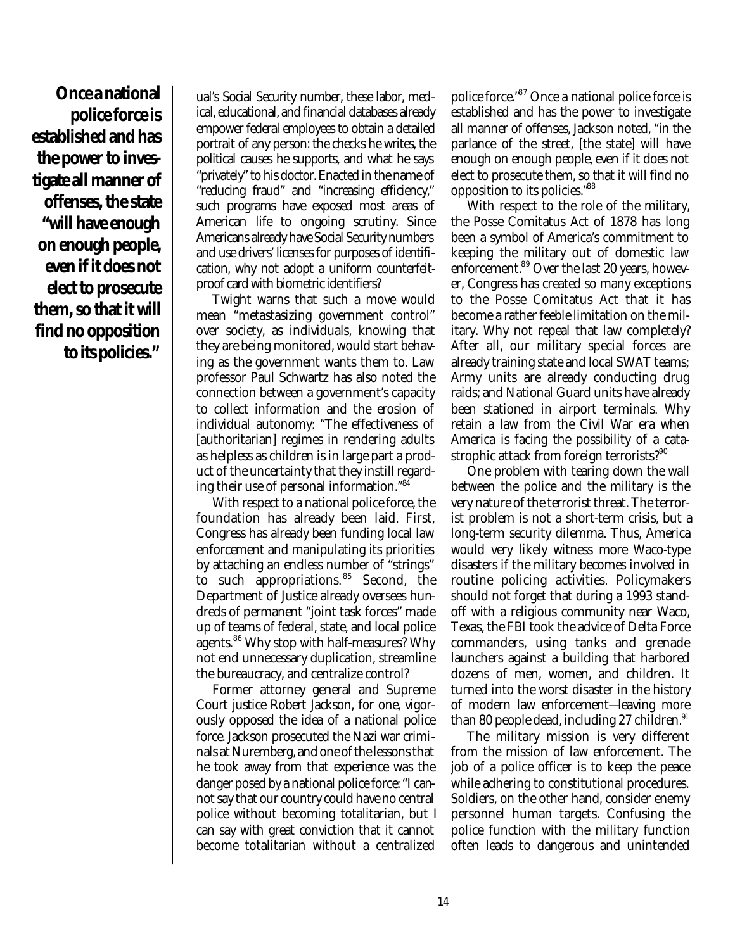**Once a national police force is established and has the power to investigate all manner of offenses, the state "will have enough on enough people, even if it does not elect to prosecute them, so that it will find no opposition to its policies."**

ual's Social Security number, these labor, medical, educational, and financial databases already empower federal employees to obtain a detailed portrait of any person: the checks he writes, the political causes he supports, and what he says "privately" to his doctor. Enacted in the name of "reducing fraud" and "increasing efficiency," such programs have exposed most areas of American life to ongoing scrutiny. Since Americans already have Social Security numbers and use drivers' licenses for purposes of identification, why not adopt a uniform counterfeitproof card with biometric identifiers?

Twight warns that such a move would mean "metastasizing government control" over society, as individuals, knowing that they are being monitored, would start behaving as the government wants them to. Law professor Paul Schwartz has also noted the connection between a government's capacity to collect information and the erosion of individual autonomy: "The effectiveness of [authoritarian] regimes in rendering adults as helpless as children is in large part a product of the uncertainty that they instill regarding their use of personal information."<sup>84</sup>

With respect to a national police force, the foundation has already been laid. First, Congress has already been funding local law enforcement and manipulating its priorities by attaching an endless number of "strings" to such appropriations. <sup>85</sup> Second, the Department of Justice already oversees hundreds of permanent "joint task forces" made up of teams of federal, state, and local police agents.<sup>86</sup> Why stop with half-measures? Why not end unnecessary duplication, streamline the bureaucracy, and centralize control?

Former attorney general and Supreme Court justice Robert Jackson, for one, vigorously opposed the idea of a national police force. Jackson prosecuted the Nazi war criminals at Nuremberg, and one of the lessons that he took away from that experience was the danger posed by a national police force: "I cannot say that our country could have no central police without becoming totalitarian, but I can say with great conviction that it cannot become totalitarian without a centralized

police force."<sup>87</sup> Once a national police force is established and has the power to investigate all manner of offenses, Jackson noted, "in the parlance of the street, [the state] will have enough on enough people, even if it does not elect to prosecute them, so that it will find no opposition to its policies."<sup>88</sup>

With respect to the role of the military, the Posse Comitatus Act of 1878 has long been a symbol of America's commitment to keeping the military out of domestic law enforcement.<sup>89</sup> Over the last 20 years, however, Congress has created so many exceptions to the Posse Comitatus Act that it has become a rather feeble limitation on the military. Why not repeal that law completely? After all, our military special forces are already training state and local SWAT teams; Army units are already conducting drug raids; and National Guard units have already been stationed in airport terminals. Why retain a law from the Civil War era when America is facing the possibility of a catastrophic attack from foreign terrorists?<sup>90</sup>

One problem with tearing down the wall between the police and the military is the very nature of the terrorist threat. The terrorist problem is not a short-term crisis, but a long-term security dilemma. Thus, America would very likely witness more Waco-type disasters if the military becomes involved in routine policing activities. Policymakers should not forget that during a 1993 standoff with a religious community near Waco, Texas, the FBI took the advice of Delta Force commanders, using tanks and grenade launchers against a building that harbored dozens of men, women, and children. It turned into the worst disaster in the history of modern law enforcement—leaving more than 80 people dead, including 27 children. $91$ 

The military mission is very different from the mission of law enforcement. The job of a police officer is to keep the peace while adhering to constitutional procedures. Soldiers, on the other hand, consider enemy personnel human targets. Confusing the police function with the military function often leads to dangerous and unintended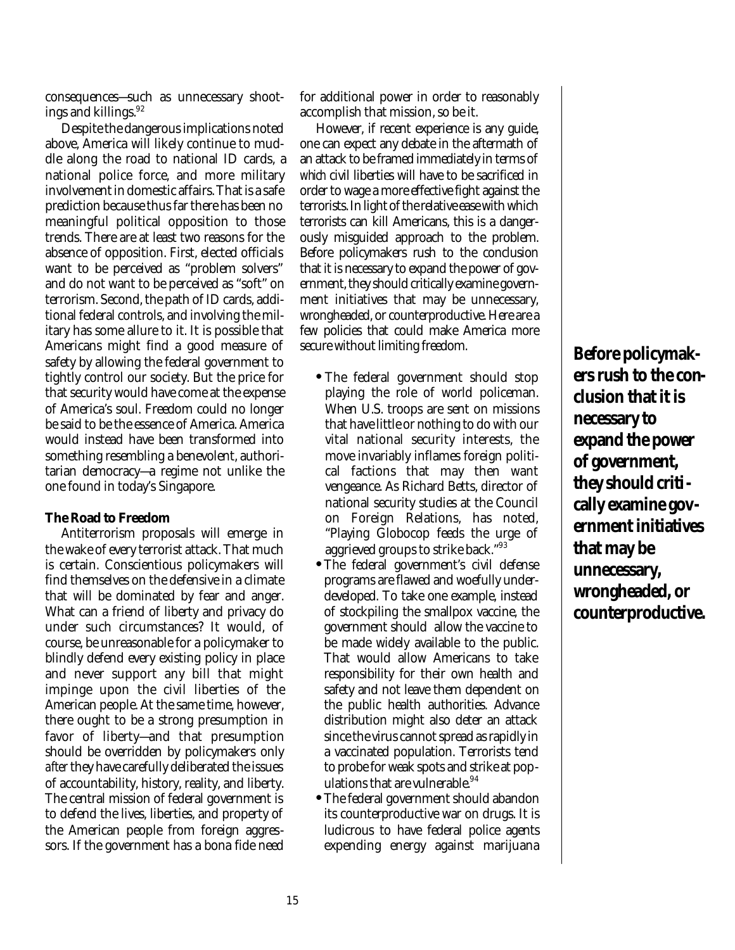consequences—such as unnecessary shootings and killings.<sup>92</sup>

Despite the dangerous implications noted above, America will likely continue to muddle along the road to national ID cards, a national police force, and more military involvement in domestic affairs. That is a safe prediction because thus far there has been no meaningful political opposition to those trends. There are at least two reasons for the absence of opposition. First, elected officials want to be perceived as "problem solvers" and do not want to be perceived as "soft" on terrorism. Second, the path of ID cards, additional federal controls, and involving the military has some allure to it. It is possible that Americans might find a good measure of safety by allowing the federal government to tightly control our society. But the price for that security would have come at the expense of America's soul. Freedom could no longer be said to be the essence of America. America would instead have been transformed into something resembling a benevolent, authoritarian democracy—a regime not unlike the one found in today's Singapore.

#### **The Road to Freedom**

Antiterrorism proposals will emerge in the wake of every terrorist attack. That much is certain. Conscientious policymakers will find themselves on the defensive in a climate that will be dominated by fear and anger. What can a friend of liberty and privacy do under such circumstances? It would, of course, be unreasonable for a policymaker to blindly defend every existing policy in place and never support any bill that might impinge upon the civil liberties of the American people. At the same time, however, there ought to be a strong presumption in favor of liberty—and that presumption should be overridden by policymakers only *after*they have carefully deliberated the issues of accountability, history, reality, and liberty. The central mission of federal government is to defend the lives, liberties, and property of the American people from foreign aggressors. If the government has a bona fide need

for additional power in order to reasonably accomplish that mission, so be it.

However, if recent experience is any guide, one can expect any debate in the aftermath of an attack to be framed immediately in terms of *which* civil liberties will have to be sacrificed in order to wage a more effective fight against the terrorists. In light of the relative ease with which terrorists can kill Americans, this is a dangerously misguided approach to the problem. Before policymakers rush to the conclusion that it is necessary to expand the power of government, they should critically examine government initiatives that may be unnecessary, wrongheaded, or counterproductive. Here are a few policies that could make America more secure without limiting freedom.

- **•** The federal government should stop playing the role of world policeman. When U.S. troops are sent on missions that have little or nothing to do with our vital national security interests, the move invariably inflames foreign political factions that may then want vengeance. As Richard Betts, director of national security studies at the Council on Foreign Relations, has noted, "Playing Globocop feeds the urge of aggrieved groups to strike back."<sup>93</sup>
- **•**The federal government's civil defense programs are flawed and woefully underdeveloped. To take one example, instead of stockpiling the smallpox vaccine, the government should allow the vaccine to be made widely available to the public. That would allow Americans to take responsibility for their own health and safety and not leave them dependent on the public health authorities. Advance distribution might also deter an attack since the virus cannot spread as rapidly in a vaccinated population. Terrorists tend to probe for weak spots and strike at populations that are vulnerable.  $94$
- **•**The federal government should abandon its counterproductive war on drugs. It is ludicrous to have federal police agents expending energy against marijuana

**Before policymakers rush to the conclusion that it is necessary to expand the power of government, they should critically examine government initiatives that may be unnecessary, wrongheaded, or counterproductive.**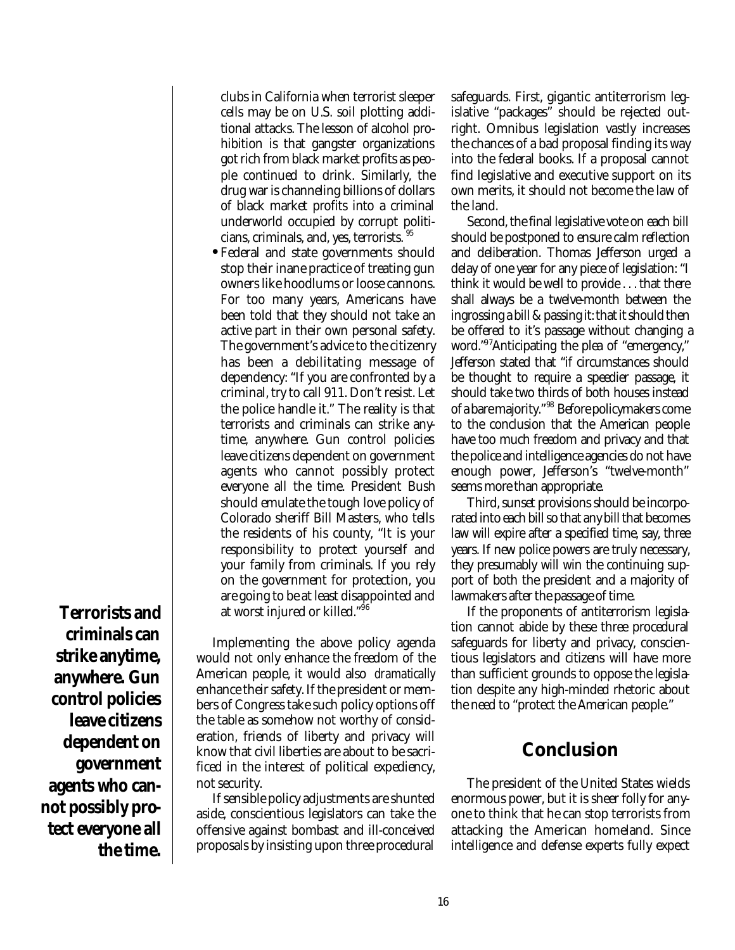**Terrorists and criminals can strike anytime, anywhere. Gun control policies leave citizens dependent on government agents who cannot possibly protect everyone all the time.**

clubs in California when terrorist sleeper cells may be on U.S. soil plotting additional attacks. The lesson of alcohol prohibition is that gangster organizations got rich from black market profits as people continued to drink. Similarly, the drug war is channeling billions of dollars of black market profits into a criminal underworld occupied by corrupt politicians, criminals, and, yes, terrorists. <sup>95</sup>

**•** Federal and state governments should stop their inane practice of treating gun owners like hoodlums or loose cannons. For too many years, Americans have been told that they should not take an active part in their own personal safety. The government's advice to the citizenry has been a debilitating message of dependency: "If you are confronted by a criminal, try to call 911. Don't resist. Let the police handle it." The reality is that terrorists and criminals can strike anytime, anywhere. Gun control policies leave citizens dependent on government agents who cannot possibly protect everyone all the time. President Bush should emulate the tough love policy of Colorado sheriff Bill Masters, who tells the residents of his county, "It is your responsibility to protect yourself and your family from criminals. If you rely on the government for protection, you are going to be at least disappointed and at worst injured or killed."<sup>96</sup>

Implementing the above policy agenda would not only enhance the freedom of the American people, it would also *dramatically* enhance their safety. If the president or members of Congress take such policy options off the table as somehow not worthy of consideration, friends of liberty and privacy will know that civil liberties are about to be sacrificed in the interest of political expediency, not security.

If sensible policy adjustments are shunted aside, conscientious legislators can take the offensive against bombast and ill-conceived proposals by insisting upon three procedural safeguards. First, gigantic antiterrorism legislative "packages" should be rejected outright. Omnibus legislation vastly increases the chances of a bad proposal finding its way into the federal books. If a proposal cannot find legislative and executive support on its own merits, it should not become the law of the land.

Second, the final legislative vote on each bill should be postponed to ensure calm reflection and deliberation. Thomas Jefferson urged a delay of one year for any piece of legislation: "I think it would be well to provide . . . that there shall always be a twelve-month between the ingrossing a bill & passing it: that it should then be offered to it's passage without changing a word."<sup>97</sup>Anticipating the plea of "emergency," Jefferson stated that "if circumstances should be thought to require a speedier passage, it should take two thirds of both houses instead of a bare majority."<sup>98</sup> Before policymakers come to the conclusion that the American people have too much freedom and privacy and that the police and intelligence agencies do not have enough power, Jefferson's "twelve-month" seems more than appropriate.

Third, sunset provisions should be incorporated into each bill so that any bill that becomes law will expire after a specified time, say, three years. If new police powers are truly necessary, they presumably will win the continuing support of both the president and a majority of lawmakers after the passage of time.

If the proponents of antiterrorism legislation cannot abide by these three procedural safeguards for liberty and privacy, conscientious legislators and citizens will have more than sufficient grounds to oppose the legislation despite any high-minded rhetoric about the need to "protect the American people."

# **Conclusion**

The president of the United States wields enormous power, but it is sheer folly for anyone to think that he can stop terrorists from attacking the American homeland. Since intelligence and defense experts fully expect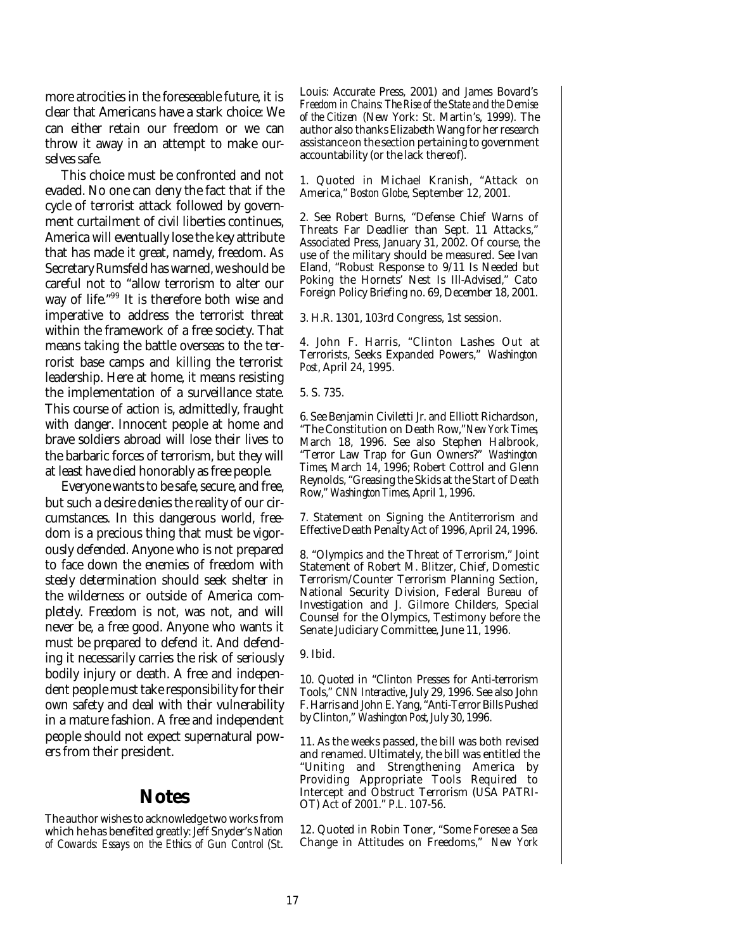more atrocities in the foreseeable future, it is clear that Americans have a stark choice: We can either retain our freedom or we can throw it away in an attempt to make ourselves safe.

This choice must be confronted and not evaded. No one can deny the fact that if the cycle of terrorist attack followed by government curtailment of civil liberties continues, America will eventually lose the key attribute that has made it great, namely, freedom. As Secretary Rumsfeld has warned, we should be careful not to "allow terrorism to alter our way of life."<sup>99</sup> It is therefore both wise and imperative to address the terrorist threat within the framework of a free society. That means taking the battle overseas to the terrorist base camps and killing the terrorist leadership. Here at home, it means resisting the implementation of a surveillance state. This course of action is, admittedly, fraught with danger. Innocent people at home and brave soldiers abroad will lose their lives to the barbaric forces of terrorism, but they will at least have died honorably as free people.

Everyone wants to be safe, secure, and free, but such a desire denies the reality of our circumstances. In this dangerous world, freedom is a precious thing that must be vigorously defended. Anyone who is not prepared to face down the enemies of freedom with steely determination should seek shelter in the wilderness or outside of America completely. Freedom is not, was not, and will never be, a free good. Anyone who wants it must be prepared to defend it. And defending it necessarily carries the risk of seriously bodily injury or death. A free and independent people must take responsibility for their own safety and deal with their vulnerability in a mature fashion. A free and independent people should not expect supernatural powers from their president.

#### **Notes**

The author wishes to acknowledge two works from which he has benefited greatly: Jeff Snyder's *Nation of Cowards: Essays on the Ethics of Gun Control* (St. Louis: Accurate Press, 2001) and James Bovard's *Freedom in Chains: The Rise of the State and the Demise of the Citizen* (New York: St. Martin's, 1999). The author also thanks Elizabeth Wang for her research assistance on the section pertaining to government accountability (or the lack thereof).

1. Quoted in Michael Kranish, "Attack on America," *Boston Globe*, September 12, 2001.

2. See Robert Burns, "Defense Chief Warns of Threats Far Deadlier than Sept. 11 Attacks," Associated Press, January 31, 2002. Of course, the use of the military should be measured. See Ivan Eland, "Robust Response to 9/11 Is Needed but Poking the Hornets' Nest Is Ill-Advised," Cato Foreign Policy Briefing no. 69, December 18, 2001.

3. H.R. 1301, 103rd Congress, 1st session.

4. John F. Harris, "Clinton Lashes Out at Terrorists, Seeks Expanded Powers," *Washington Post*, April 24, 1995.

5. S. 735.

6. See Benjamin Civiletti Jr. and Elliott Richardson, "The Constitution on Death Row," *New York Times*, March 18, 1996. See also Stephen Halbrook, "Terror Law Trap for Gun Owners?" *Washington Times*, March 14, 1996; Robert Cottrol and Glenn Reynolds, "Greasing the Skids at the Start of Death Row," *Washington Times*, April 1, 1996.

7. Statement on Signing the Antiterrorism and Effective Death Penalty Act of 1996, April 24, 1996.

8. "Olympics and the Threat of Terrorism," Joint Statement of Robert M. Blitzer, Chief, Domestic Terrorism/Counter Terrorism Planning Section, National Security Division, Federal Bureau of Investigation and J. Gilmore Childers, Special Counsel for the Olympics, Testimony before the Senate Judiciary Committee, June 11, 1996.

9. Ibid.

10. Quoted in "Clinton Presses for Anti-terrorism Tools," *CNN Interactive*, July 29, 1996. See also John F. Harris and John E. Yang, "Anti-Terror Bills Pushed by Clinton," *Washington Post*, July 30, 1996.

11. As the weeks passed, the bill was both revised and renamed. Ultimately, the bill was entitled the "Uniting and Strengthening America by Providing Appropriate Tools Required to Intercept and Obstruct Terrorism (USA PATRI-OT) Act of 2001." P.L. 107-56.

12. Quoted in Robin Toner, "Some Foresee a Sea Change in Attitudes on Freedoms," *New York*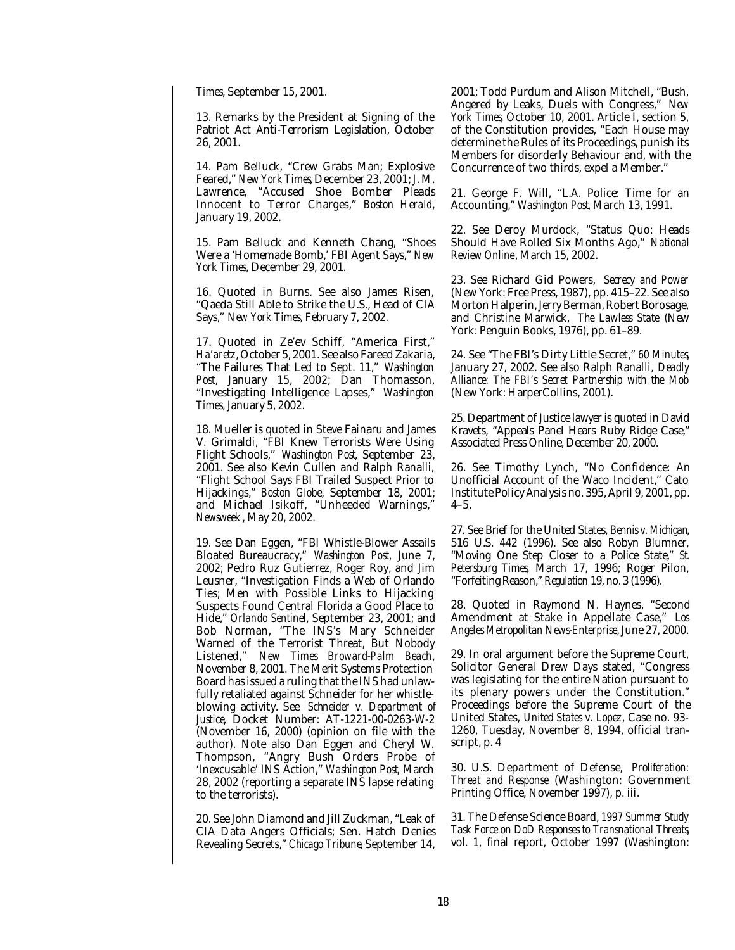*Times*, September 15, 2001.

13. Remarks by the President at Signing of the Patriot Act Anti-Terrorism Legislation, October 26, 2001.

14. Pam Belluck, "Crew Grabs Man; Explosive Feared," *New York Times*, December 23, 2001; J. M. Lawrence, "Accused Shoe Bomber Pleads Innocent to Terror Charges," *Boston Herald*, January 19, 2002.

15. Pam Belluck and Kenneth Chang, "Shoes Were a 'Homemade Bomb,' FBI Agent Says," *New York Times*, December 29, 2001.

16. Quoted in Burns. See also James Risen, "Qaeda Still Able to Strike the U.S., Head of CIA Says," *New York Times,* February 7, 2002.

17. Quoted in Ze'ev Schiff, "America First," *Ha'aretz*, October 5, 2001. See also Fareed Zakaria, "The Failures That Led to Sept. 11," *Washington Post*, January 15, 2002; Dan Thomasson, "Investigating Intelligence Lapses," *Washington Times*, January 5, 2002.

18. Mueller is quoted in Steve Fainaru and James V. Grimaldi, "FBI Knew Terrorists Were Using Flight Schools," *Washington Post*, September 23, 2001. See also Kevin Cullen and Ralph Ranalli, "Flight School Says FBI Trailed Suspect Prior to Hijackings," *Boston Globe*, September 18, 2001; and Michael Isikoff, "Unheeded Warnings," *Newsweek* , May 20, 2002.

19. See Dan Eggen, "FBI Whistle-Blower Assails Bloated Bureaucracy," *Washington Post*, June 7, 2002; Pedro Ruz Gutierrez, Roger Roy, and Jim Leusner, "Investigation Finds a Web of Orlando Ties; Men with Possible Links to Hijacking Suspects Found Central Florida a Good Place to Hide," *Orlando Sentinel*, September 23, 2001; and Bob Norman, "The INS's Mary Schneider Warned of the Terrorist Threat, But Nobody Listened," *New Times Broward-Palm Beach*, November 8, 2001. The Merit Systems Protection Board has issued a ruling that the INS had unlawfully retaliated against Schneider for her whistleblowing activity. See *Schneider v. Department of Justice*, Docket Number: AT-1221-00-0263-W-2 (November 16, 2000) (opinion on file with the author). Note also Dan Eggen and Cheryl W. Thompson, "Angry Bush Orders Probe of 'Inexcusable' INS Action," *Washington Post*, March 28, 2002 (reporting a separate INS lapse relating to the terrorists).

20. See John Diamond and Jill Zuckman, "Leak of CIA Data Angers Officials; Sen. Hatch Denies Revealing Secrets," *Chicago Tribune*, September 14, 2001; Todd Purdum and Alison Mitchell, "Bush, Angered by Leaks, Duels with Congress," *New York Times*, October 10, 2001. Article I, section 5, of the Constitution provides, "Each House may determine the Rules of its Proceedings, punish its Members for disorderly Behaviour and, with the Concurrence of two thirds, expel a Member."

21. George F. Will, "L.A. Police: Time for an Accounting," *Washington Post*, March 13, 1991.

22. See Deroy Murdock, "Status Quo: Heads Should Have Rolled Six Months Ago," *National Review Online*, March 15, 2002.

23. See Richard Gid Powers, *Secrecy and Power* (New York: Free Press, 1987), pp. 415–22. See also Morton Halperin, Jerry Berman, Robert Borosage, and Christine Marwick, *The Lawless State* (New York: Penguin Books, 1976), pp. 61–89.

24. See "The FBI's Dirty Little Secret," *60 Minutes*, January 27, 2002. See also Ralph Ranalli, *Deadly Alliance: The FBI's Secret Partnership with the Mob* (New York: HarperCollins, 2001).

25. Department of Justice lawyer is quoted in David Kravets, "Appeals Panel Hears Ruby Ridge Case," Associated Press Online, December 20, 2000.

26. See Timothy Lynch, "No Confidence: An Unofficial Account of the Waco Incident," Cato Institute Policy Analysis no. 395, April 9, 2001, pp. 4–5.

27. See Brief for the United States, *Bennis v. Michigan*, 516 U.S. 442 (1996). See also Robyn Blumner, "Moving One Step Closer to a Police State," *St. Petersburg Times*, March 17, 1996; Roger Pilon, "Forfeiting Reason," *Regulation* 19, no. 3 (1996).

28. Quoted in Raymond N. Haynes, "Second Amendment at Stake in Appellate Case," *Los Angeles Metropolitan News-Enterprise*, June 27, 2000.

29. In oral argument before the Supreme Court, Solicitor General Drew Days stated, "Congress was legislating for the entire Nation pursuant to its plenary powers under the Constitution." Proceedings before the Supreme Court of the United States, *United States v. Lopez*, Case no. 93- 1260, Tuesday, November 8, 1994, official transcript, p. 4

30. U.S. Department of Defense, *Proliferation: Threat and Response* (Washington: Government Printing Office, November 1997), p. iii.

31. The Defense Science Board, *1997 Summer Study Task Force on DoD Responses to Transnational Threats*, vol. 1, final report, October 1997 (Washington: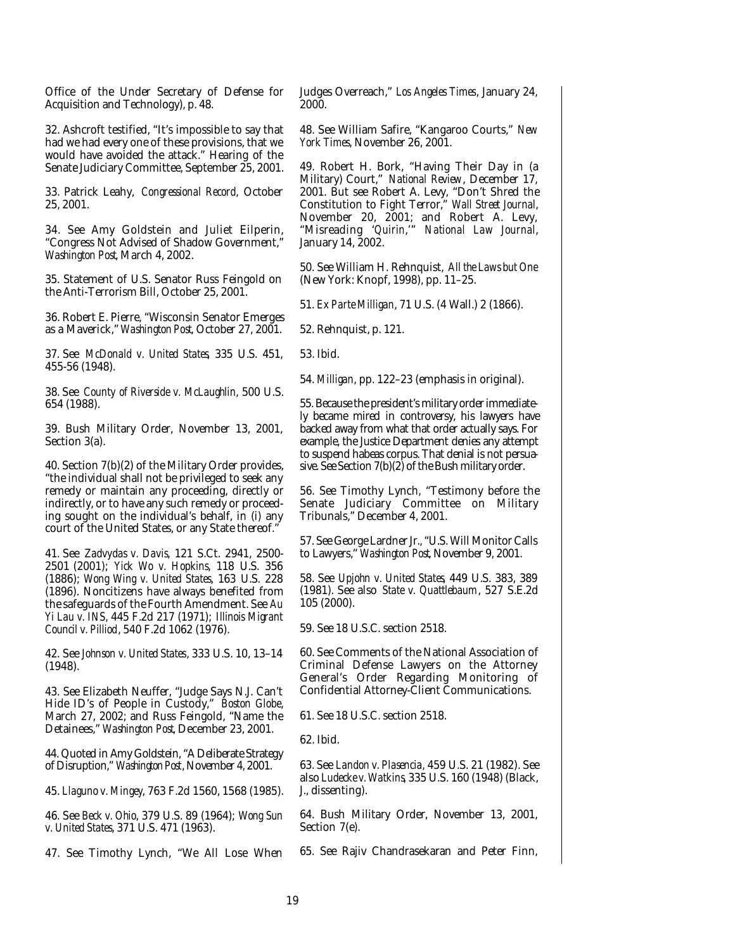Office of the Under Secretary of Defense for Acquisition and Technology), p. 48.

32. Ashcroft testified, "It's impossible to say that had we had every one of these provisions, that we would have avoided the attack." Hearing of the Senate Judiciary Committee, September 25, 2001.

33. Patrick Leahy, *Congressional Record*, October 25, 2001.

34. See Amy Goldstein and Juliet Eilperin, "Congress Not Advised of Shadow Government," *Washington Post*, March 4, 2002.

35. Statement of U.S. Senator Russ Feingold on the Anti-Terrorism Bill, October 25, 2001.

36. Robert E. Pierre, "Wisconsin Senator Emerges as a Maverick," *Washington Post*, October 27, 2001.

37. See *McDonald v. United States*, 335 U.S. 451, 455-56 (1948).

38. See *County of Riverside v. McLaughlin*, 500 U.S. 654 (1988).

39. Bush Military Order, November 13, 2001, Section 3(a).

40. Section 7(b)(2) of the Military Order provides, "the individual shall not be privileged to seek any remedy or maintain any proceeding, directly or indirectly, or to have any such remedy or proceeding sought on the individual's behalf, in (i) any court of the United States, or any State thereof."

41. See *Zadvydas v. Davis*, 121 S.Ct. 2941, 2500- 2501 (2001); *Yick Wo v. Hopkins*, 118 U.S. 356 (1886); *Wong Wing v. United States*, 163 U.S. 228 (1896). Noncitizens have always benefited from the safeguards of the Fourth Amendment. See *Au Yi Lau v. INS*, 445 F.2d 217 (1971); *Illinois Migrant Council v. Pilliod*, 540 F.2d 1062 (1976).

42. See *Johnson v. United States*, 333 U.S. 10, 13–14 (1948).

43. See Elizabeth Neuffer, "Judge Says N.J. Can't Hide ID's of People in Custody," *Boston Globe*, March 27, 2002; and Russ Feingold, "Name the Detainees," *Washington Post*, December 23, 2001.

44. Quoted in Amy Goldstein, "A Deliberate Strategy of Disruption," *Washington Post*, November 4, 2001.

45. *Llaguno v. Mingey*, 763 F.2d 1560, 1568 (1985).

46. See *Beck v. Ohio*, 379 U.S. 89 (1964); *Wong Sun v. United States*, 371 U.S. 471 (1963).

47. See Timothy Lynch, "We All Lose When

Judges Overreach," *Los Angeles Times*, January 24, 2000.

48. See William Safire, "Kangaroo Courts," *New York Times*, November 26, 2001.

49. Robert H. Bork, "Having Their Day in (a Military) Court," *National Review*, December 17, 2001. But see Robert A. Levy, "Don't Shred the Constitution to Fight Terror," *Wall Street Journal*, November 20, 2001; and Robert A. Levy, "Misreading '*Quirin*,'" *National Law Journal*, January 14, 2002.

50. See William H. Rehnquist, *All the Laws but One* (New York: Knopf, 1998), pp. 11–25.

51. *Ex Parte Milligan*, 71 U.S. (4 Wall.) 2 (1866).

52. Rehnquist, p. 121.

53. Ibid.

54. *Milligan*, pp. 122–23 (emphasis in original).

55. Because the president's military order immediately became mired in controversy, his lawyers have backed away from what that order actually says. For example, the Justice Department denies any attempt to suspend habeas corpus. That denial is not persuasive. See Section 7(b)(2) of the Bush military order.

56. See Timothy Lynch, "Testimony before the Senate Judiciary Committee on Military Tribunals," December 4, 2001.

57. See George Lardner Jr., "U.S. Will Monitor Calls to Lawyers," *Washington Post*, November 9, 2001.

58. See *Upjohn v. United States*, 449 U.S. 383, 389 (1981). See also *State v. Quattlebaum*, 527 S.E.2d 105 (2000).

59. See 18 U.S.C. section 2518.

60. See Comments of the National Association of Criminal Defense Lawyers on the Attorney General's Order Regarding Monitoring of Confidential Attorney-Client Communications.

61. See 18 U.S.C. section 2518.

62. Ibid.

63. See *Landon v. Plasencia*, 459 U.S. 21 (1982). See also *Ludecke v. Watkins*, 335 U.S. 160 (1948) (Black, J., dissenting).

64. Bush Military Order, November 13, 2001, Section 7(e).

65. See Rajiv Chandrasekaran and Peter Finn,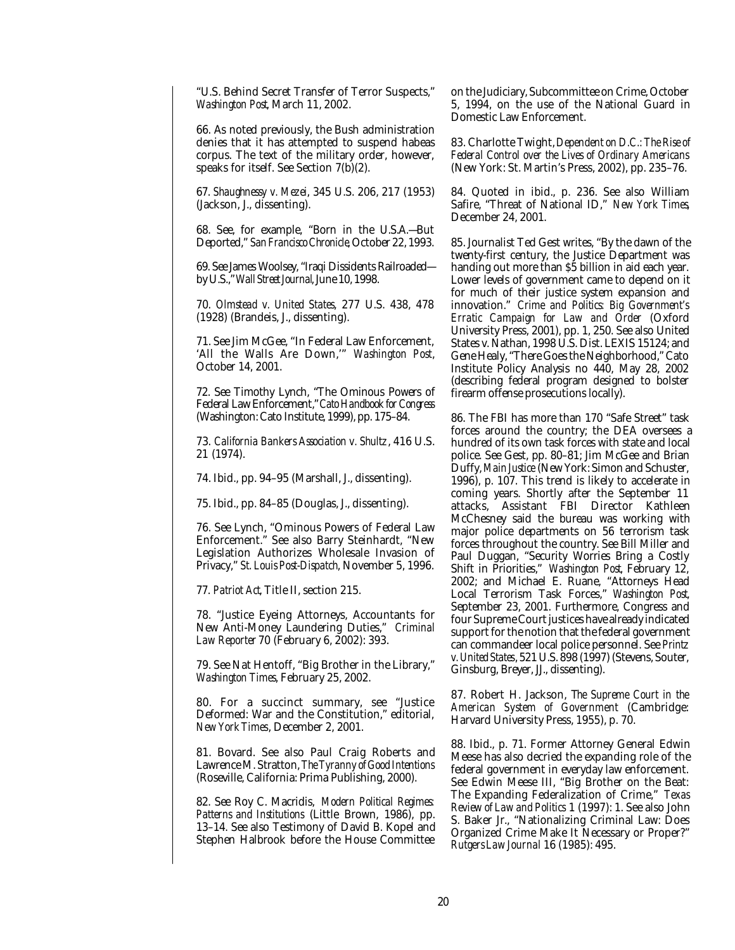"U.S. Behind Secret Transfer of Terror Suspects," *Washington Post*, March 11, 2002.

66. As noted previously, the Bush administration denies that it has attempted to suspend habeas corpus. The text of the military order, however, speaks for itself. See Section 7(b)(2).

67. *Shaughnessy v. Mezei*, 345 U.S. 206, 217 (1953) (Jackson, J., dissenting).

68. See, for example, "Born in the U.S.A.—But Deported," *San Francisco Chronicle*, October 22, 1993.

69. See James Woolsey, "Iraqi Dissidents Railroaded by U.S.," *Wall Street Journal*, June 10, 1998.

70. *Olmstead v. United States*, 277 U.S. 438, 478 (1928) (Brandeis, J., dissenting).

71. See Jim McGee, "In Federal Law Enforcement, 'All the Walls Are Down,'" *Washington Post*, October 14, 2001.

72. See Timothy Lynch, "The Ominous Powers of Federal Law Enforcement," *Cato Handbook for Congress* (Washington: Cato Institute, 1999), pp. 175–84.

73. *California Bankers Association v. Shultz*, 416 U.S. 21 (1974).

74. Ibid., pp. 94–95 (Marshall, J., dissenting).

75. Ibid., pp. 84–85 (Douglas, J., dissenting).

76. See Lynch, "Ominous Powers of Federal Law Enforcement." See also Barry Steinhardt, "New Legislation Authorizes Wholesale Invasion of Privacy," *St. Louis Post-Dispatch*, November 5, 1996.

77. *Patriot Act*, Title II, section 215.

78. "Justice Eyeing Attorneys, Accountants for New Anti-Money Laundering Duties," *Criminal Law Reporter* 70 (February 6, 2002): 393.

79. See Nat Hentoff, "Big Brother in the Library," *Washington Times*, February 25, 2002.

80. For a succinct summary, see "Justice Deformed: War and the Constitution," editorial, *New York Times*, December 2, 2001.

81. Bovard. See also Paul Craig Roberts and Lawrence M. Stratton, *The Tyranny of Good Intentions* (Roseville, California: Prima Publishing, 2000).

82. See Roy C. Macridis, *Modern Political Regimes: Patterns and Institutions* (Little Brown, 1986), pp. 13–14. See also Testimony of David B. Kopel and Stephen Halbrook before the House Committee on the Judiciary, Subcommittee on Crime, October 5, 1994, on the use of the National Guard in Domestic Law Enforcement.

83. Charlotte Twight, *Dependent on D.C.: The Rise of Federal Control over the Lives of Ordinary Americans* (New York: St. Martin's Press, 2002), pp. 235–76.

84. Quoted in ibid., p. 236. See also William Safire, "Threat of National ID," *New York Times*, December 24, 2001.

85. Journalist Ted Gest writes, "By the dawn of the twenty-first century, the Justice Department was handing out more than \$5 billion in aid each year. Lower levels of government came to depend on it for much of their justice system expansion and innovation." *Crime and Politics: Big Government's Erratic Campaign for Law and Order* (Oxford University Press, 2001), pp. 1, 250. See also United States v. Nathan, 1998 U.S. Dist. LEXIS 15124; and Gene Healy, "There Goes the Neighborhood," Cato Institute Policy Analysis no 440, May 28, 2002 (describing federal program designed to bolster firearm offense prosecutions locally).

86. The FBI has more than 170 "Safe Street" task forces around the country; the DEA oversees a hundred of its own task forces with state and local police. See Gest, pp. 80–81; Jim McGee and Brian Duffy, *Main Justice* (New York: Simon and Schuster, 1996), p. 107. This trend is likely to accelerate in coming years. Shortly after the September 11 attacks, Assistant FBI Director Kathleen McChesney said the bureau was working with major police departments on 56 terrorism task forces throughout the country. See Bill Miller and Paul Duggan, "Security Worries Bring a Costly Shift in Priorities," *Washington Post*, February 12, 2002; and Michael E. Ruane, "Attorneys Head Local Terrorism Task Forces," *Washington Post*, September 23, 2001. Furthermore, Congress and four Supreme Court justices have already indicated support for the notion that the federal government can commandeer local police personnel. See *Printz v. United States*, 521 U.S. 898 (1997) (Stevens, Souter, Ginsburg, Breyer, JJ., dissenting).

87. Robert H. Jackson, T*he Supreme Court in the American System of Government* (Cambridge: Harvard University Press, 1955), p. 70.

88. Ibid., p. 71. Former Attorney General Edwin Meese has also decried the expanding role of the federal government in everyday law enforcement. See Edwin Meese III, "Big Brother on the Beat: The Expanding Federalization of Crime," *Texas Review of Law and Politics* 1 (1997): 1. See also John S. Baker Jr., "Nationalizing Criminal Law: Does Organized Crime Make It Necessary or Proper?" *Rutgers Law Journal* 16 (1985): 495.